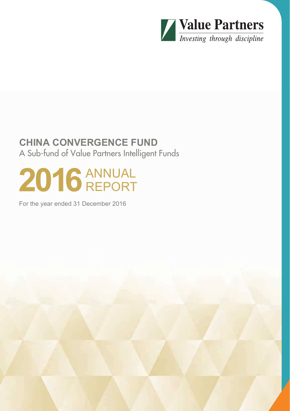

# **CHINA CONVERGENCE FUND** A Sub-fund of Value Partners Intelligent Funds

# 2016 ANNUAL REPORT

For the year ended 31 December 2016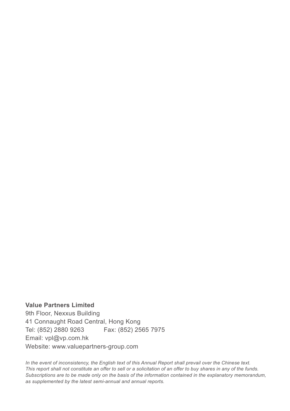**Value Partners Limited** 9th Floor, Nexxus Building 41 Connaught Road Central, Hong Kong Tel: (852) 2880 9263 Fax: (852) 2565 7975 Email: vpl@vp.com.hk Website: www.valuepartners-group.com

*In the event of inconsistency, the English text of this Annual Report shall prevail over the Chinese text. This report shall not constitute an offer to sell or a solicitation of an offer to buy shares in any of the funds. Subscriptions are to be made only on the basis of the information contained in the explanatory memorandum, as supplemented by the latest semi-annual and annual reports.*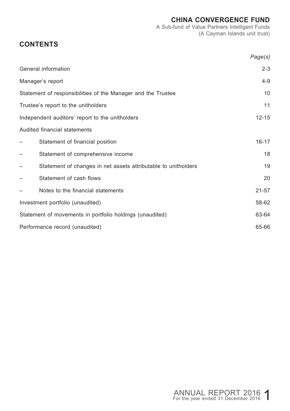A Sub-fund of Value Partners Intelligent Funds (A Cayman Islands unit trust)

# **CONTENTS**

|                                                                | Page(s)   |
|----------------------------------------------------------------|-----------|
| General information                                            | $2 - 3$   |
| Manager's report                                               | $4 - 9$   |
| Statement of responsibilities of the Manager and the Trustee   | 10        |
| Trustee's report to the unitholders                            | 11        |
| Independent auditors' report to the unitholders                | $12 - 15$ |
| Audited financial statements                                   |           |
| Statement of financial position                                | $16 - 17$ |
| Statement of comprehensive income                              | 18        |
| Statement of changes in net assets attributable to unitholders | 19        |
| Statement of cash flows                                        | 20        |
| Notes to the financial statements                              | $21 - 57$ |
| Investment portfolio (unaudited)                               | 58-62     |
| Statement of movements in portfolio holdings (unaudited)       | 63-64     |
| Performance record (unaudited)                                 | 65-66     |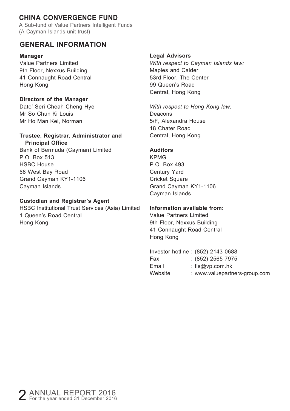A Sub-fund of Value Partners Intelligent Funds (A Cayman Islands unit trust)

### **GENERAL INFORMATION**

#### **Manager**

Value Partners Limited 9th Floor, Nexxus Building 41 Connaught Road Central Hong Kong

#### **Directors of the Manager**

Dato' Seri Cheah Cheng Hye Mr So Chun Ki Louis Mr Ho Man Kei, Norman

#### **Trustee, Registrar, Administrator and Principal Office**

Bank of Bermuda (Cayman) Limited P.O. Box 513 HSBC House 68 West Bay Road Grand Cayman KY1-1106 Cayman Islands

#### **Custodian and Registrar's Agent**

HSBC Institutional Trust Services (Asia) Limited 1 Queen's Road Central Hong Kong

#### **Legal Advisors**

*With respect to Cayman Islands law:* Maples and Calder 53rd Floor, The Center 99 Queen's Road Central, Hong Kong

*With respect to Hong Kong law:* Deacons 5/F, Alexandra House 18 Chater Road Central, Hong Kong

#### **Auditors**

KPMG P.O. Box 493 Century Yard Cricket Square Grand Cayman KY1-1106 Cayman Islands

#### **Information available from:**

Value Partners Limited 9th Floor, Nexxus Building 41 Connaught Road Central Hong Kong

#### Investor hotline : (852) 2143 0688

| Fax     | $: (852)$ 2565 7975           |
|---------|-------------------------------|
| Email   | : $f$ is@vp.com.hk            |
| Website | : www.valuepartners-group.com |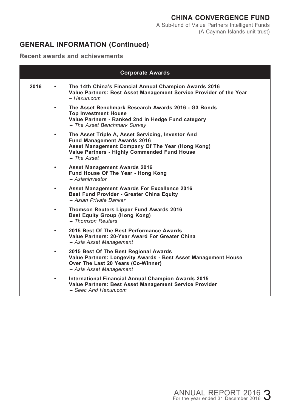# **GENERAL INFORMATION (Continued)**

**Recent awards and achievements**

|      |           | <b>Corporate Awards</b>                                                                                                                                                                                      |
|------|-----------|--------------------------------------------------------------------------------------------------------------------------------------------------------------------------------------------------------------|
| 2016 | ٠         | The 14th China's Financial Annual Champion Awards 2016<br>Value Partners: Best Asset Management Service Provider of the Year<br>– Hexun com                                                                  |
|      | $\bullet$ | The Asset Benchmark Research Awards 2016 - G3 Bonds<br><b>Top Investment House</b><br>Value Partners - Ranked 2nd in Hedge Fund category<br>- The Asset Benchmark Survev                                     |
|      | $\bullet$ | The Asset Triple A, Asset Servicing, Investor And<br><b>Fund Management Awards 2016</b><br>Asset Management Company Of The Year (Hong Kong)<br>Value Partners - Highly Commended Fund House<br>$-$ The Asset |
|      | ٠         | <b>Asset Management Awards 2016</b><br>Fund House Of The Year - Hong Kong<br>- Asianinvestor                                                                                                                 |
|      | ٠         | Asset Management Awards For Excellence 2016<br><b>Best Fund Provider - Greater China Equity</b><br>- Asian Private Banker                                                                                    |
|      | ٠         | Thomson Reuters Lipper Fund Awards 2016<br>Best Equity Group (Hong Kong)<br>- Thomson Reuters                                                                                                                |
|      | ٠         | 2015 Best Of The Best Performance Awards<br>Value Partners: 20-Year Award For Greater China<br>- Asia Asset Management                                                                                       |
|      | ٠         | 2015 Best Of The Best Regional Awards<br>Value Partners: Longevity Awards - Best Asset Management House<br>Over The Last 20 Years (Co-Winner)<br>- Asia Asset Management                                     |
|      | ٠         | International Financial Annual Champion Awards 2015<br>Value Partners: Best Asset Management Service Provider<br>- Seec And Hexun.com                                                                        |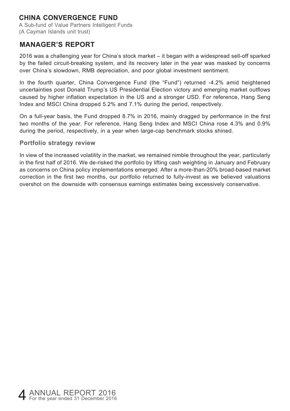A Sub-fund of Value Partners Intelligent Funds (A Cayman Islands unit trust)

### **MANAGER'S REPORT**

2016 was a challenging year for China's stock market – it began with a widespread sell-off sparked by the failed circuit-breaking system, and its recovery later in the year was masked by concerns over China's slowdown, RMB depreciation, and poor global investment sentiment.

In the fourth quarter, China Convergence Fund (the "Fund") returned -4.2% amid heightened uncertainties post Donald Trump's US Presidential Election victory and emerging market outflows caused by higher inflation expectation in the US and a stronger USD. For reference, Hang Seng Index and MSCI China dropped 5.2% and 7.1% during the period, respectively.

On a full-year basis, the Fund dropped 8.7% in 2016, mainly dragged by performance in the first two months of the year. For reference, Hang Seng Index and MSCI China rose 4.3% and 0.9% during the period, respectively, in a year when large-cap benchmark stocks shined.

#### **Portfolio strategy review**

In view of the increased volatility in the market, we remained nimble throughout the year, particularly in the first half of 2016. We de-risked the portfolio by lifting cash weighting in January and February as concerns on China policy implementations emerged. After a more-than-20% broad-based market correction in the first two months, our portfolio returned to fully-invest as we believed valuations overshot on the downside with consensus earnings estimates being excessively conservative.

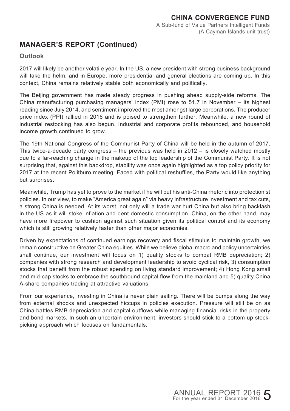# **MANAGER'S REPORT (Continued)**

#### **Outlook**

2017 will likely be another volatile year. In the US, a new president with strong business background will take the helm, and in Europe, more presidential and general elections are coming up. In this context, China remains relatively stable both economically and politically.

The Beijing government has made steady progress in pushing ahead supply-side reforms. The China manufacturing purchasing managers' index (PMI) rose to 51.7 in November – its highest reading since July 2014, and sentiment improved the most amongst large corporations. The producer price index (PPI) rallied in 2016 and is poised to strengthen further. Meanwhile, a new round of industrial restocking has also begun. Industrial and corporate profits rebounded, and household income growth continued to grow.

The 19th National Congress of the Communist Party of China will be held in the autumn of 2017. This twice-a-decade party congress  $-$  the previous was held in 2012  $-$  is closely watched mostly due to a far-reaching change in the makeup of the top leadership of the Communist Party. It is not surprising that, against this backdrop, stability was once again highlighted as a top policy priority for 2017 at the recent Politburo meeting. Faced with political reshuffles, the Party would like anything but surprises.

Meanwhile, Trump has yet to prove to the market if he will put his anti-China rhetoric into protectionist policies. In our view, to make "America great again" via heavy infrastructure investment and tax cuts, a strong China is needed. At its worst, not only will a trade war hurt China but also bring backlash in the US as it will stoke inflation and dent domestic consumption. China, on the other hand, may have more firepower to cushion against such situation given its political control and its economy which is still growing relatively faster than other major economies.

Driven by expectations of continued earnings recovery and fiscal stimulus to maintain growth, we remain constructive on Greater China equities. While we believe global macro and policy uncertainties shall continue, our investment will focus on 1) quality stocks to combat RMB depreciation; 2) companies with strong research and development leadership to avoid cyclical risk, 3) consumption stocks that benefit from the robust spending on living standard improvement; 4) Hong Kong small and mid-cap stocks to embrace the southbound capital flow from the mainland and 5) quality China A-share companies trading at attractive valuations.

From our experience, investing in China is never plain sailing. There will be bumps along the way from external shocks and unexpected hiccups in policies execution. Pressure will still be on as China battles RMB depreciation and capital outflows while managing financial risks in the property and bond markets. In such an uncertain environment, investors should stick to a bottom-up stockpicking approach which focuses on fundamentals.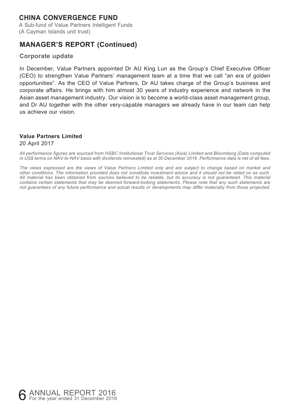A Sub-fund of Value Partners Intelligent Funds (A Cayman Islands unit trust)

### **MANAGER'S REPORT (Continued)**

#### **Corporate update**

In December, Value Partners appointed Dr AU King Lun as the Group's Chief Executive Officer (CEO) to strengthen Value Partners' management team at a time that we call "an era of golden opportunities". As the CEO of Value Partners, Dr AU takes charge of the Group's business and corporate affairs. He brings with him almost 30 years of industry experience and network in the Asian asset management industry. Our vision is to become a world-class asset management group, and Dr AU together with the other very-capable managers we already have in our team can help us achieve our vision.

#### **Value Partners Limited**

#### 20 April 2017

*All performance figures are sourced from HSBC Institutional Trust Services (Asia) Limited and Bloomberg (Data computed in US\$ terms on NAV-to-NAV basis with dividends reinvested) as at 30 December 2016. Performance data is net of all fees.*

*The views expressed are the views of Value Partners Limited only and are subject to change based on market and other conditions. The information provided does not constitute investment advice and it should not be relied on as such. All material has been obtained from sources believed to be reliable, but its accuracy is not guaranteed. This material contains certain statements that may be deemed forward-looking statements. Please note that any such statements are not guarantees of any future performance and actual results or developments may differ materially from those projected.*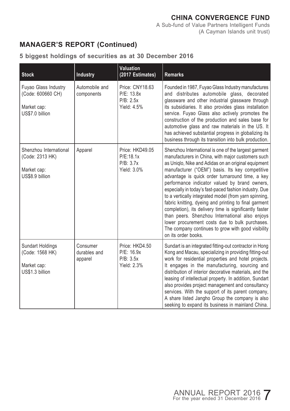A Sub-fund of Value Partners Intelligent Funds (A Cayman Islands unit trust)

# **MANAGER'S REPORT (Continued)**

#### **5 biggest holdings of securities as at 30 December 2016**

| <b>Stock</b>                                                                | Industry                            | <b>Valuation</b><br>(2017 Estimates)                      | <b>Remarks</b>                                                                                                                                                                                                                                                                                                                                                                                                                                                                                                                                                                                                                                                                                                                                 |
|-----------------------------------------------------------------------------|-------------------------------------|-----------------------------------------------------------|------------------------------------------------------------------------------------------------------------------------------------------------------------------------------------------------------------------------------------------------------------------------------------------------------------------------------------------------------------------------------------------------------------------------------------------------------------------------------------------------------------------------------------------------------------------------------------------------------------------------------------------------------------------------------------------------------------------------------------------------|
| Fuyao Glass Industry<br>(Code: 600660 CH)<br>Market cap:<br>US\$7.0 billion | Automobile and<br>components        | Price: CNY18.63<br>P/E: 13.8x<br>P/B: 2.5x<br>Yield: 4.5% | Founded in 1987, Fuyao Glass Industry manufactures<br>and distributes automobile glass, decorated<br>glassware and other industrial glassware through<br>its subsidiaries. It also provides glass installation<br>service. Fuyao Glass also actively promotes the<br>construction of the production and sales base for<br>automotive glass and raw materials in the US. It<br>has achieved substantial progress in globalizing its<br>business through its transition into bulk production.                                                                                                                                                                                                                                                    |
| Shenzhou International<br>(Code: 2313 HK)<br>Market cap:<br>US\$8.9 billion | Apparel                             | Price: HKD49.05<br>P/E:18.1x<br>P/B: 3.7x<br>Yield: 3.0%  | Shenzhou International is one of the largest garment<br>manufacturers in China, with major customers such<br>as Uniqlo, Nike and Adidas on an original equipment<br>manufacturer ("OEM") basis. Its key competitive<br>advantage is quick order turnaround time, a key<br>performance indicator valued by brand owners,<br>especially in today's fast-paced fashion industry. Due<br>to a vertically integrated model (from yarn spinning,<br>fabric knitting, dyeing and printing to final garment<br>completion), its delivery time is significantly faster<br>than peers. Shenzhou International also enjoys<br>lower procurement costs due to bulk purchases.<br>The company continues to grow with good visibility<br>on its order books. |
| Sundart Holdings<br>(Code: 1568 HK)<br>Market cap:<br>US\$1.3 billion       | Consumer<br>durables and<br>apparel | Price: HKD4.50<br>P/E: 16.9x<br>P/B: 3.5x<br>Yield: 2.3%  | Sundart is an integrated fitting-out contractor in Hong<br>Kong and Macau, specializing in providing fitting-out<br>work for residential properties and hotel projects.<br>It engages in the manufacturing, sourcing and<br>distribution of interior decorative materials, and the<br>leasing of intellectual property. In addition, Sundart<br>also provides project management and consultancy<br>services. With the support of its parent company,<br>A share listed Jangho Group the company is also<br>seeking to expand its business in mainland China.                                                                                                                                                                                  |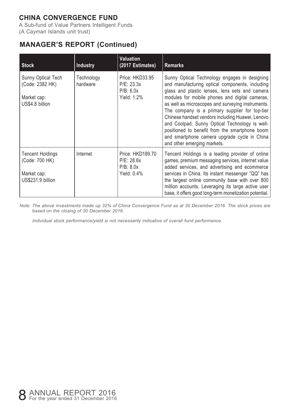A Sub-fund of Value Partners Intelligent Funds (A Cayman Islands unit trust)

# **MANAGER'S REPORT (Continued)**

| <b>Stock</b>                                                                  | Industry               | <b>Valuation</b><br>(2017 Estimates)                       | <b>Remarks</b>                                                                                                                                                                                                                                                                                                                                                                                                                                                                                                                                     |
|-------------------------------------------------------------------------------|------------------------|------------------------------------------------------------|----------------------------------------------------------------------------------------------------------------------------------------------------------------------------------------------------------------------------------------------------------------------------------------------------------------------------------------------------------------------------------------------------------------------------------------------------------------------------------------------------------------------------------------------------|
| Sunny Optical Tech<br>(Code: 2382 HK)<br>Market cap:<br>US\$4.8 billion       | Technology<br>hardware | Price: HKD33.95<br>P/E: 23.3x<br>P/B: 6.0x<br>Yield: 1.2%  | Sunny Optical Technology engages in designing<br>and manufacturing optical components, including<br>glass and plastic lenses, lens sets and camera<br>modules for mobile phones and digital cameras.<br>as well as microscopes and surveying instruments.<br>The company is a primary supplier for top-tier<br>Chinese handset vendors including Huawei, Lenovo<br>and Coolpad. Sunny Optical Technology is well-<br>positioned to benefit from the smartphone boom<br>and smartphone camera upgrade cycle in China<br>and other emerging markets. |
| <b>Tencent Holdings</b><br>(Code: 700 HK)<br>Market cap:<br>US\$231.9 billion | Internet               | Price: HKD189.70<br>P/E: 28.6x<br>P/B: 8.0x<br>Yield: 0.4% | Tencent Holdings is a leading provider of online<br>games, premium messaging services, internet value<br>added services, and advertising and ecommerce<br>services in China. Its instant messenger "QQ" has<br>the largest online community base with over 800<br>million accounts. Leveraging its large active user<br>base, it offers good long-term monetization potential.                                                                                                                                                                     |

*Note: The above investments made up 32% of China Convergence Fund as at 30 December 2016. The stock prices are based on the closing of 30 December 2016.*

*Individual stock performance/yield is not necessarily indicative of overall fund performance.*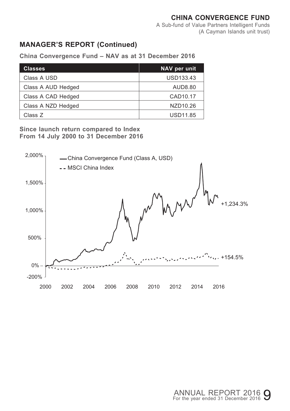A Sub-fund of Value Partners Intelligent Funds (A Cayman Islands unit trust)

# **MANAGER'S REPORT (Continued)**

| <b>Classes</b>     | NAV per unit         |
|--------------------|----------------------|
| Class A USD        | USD133.43            |
| Class A AUD Hedged | AUD8.80              |
| Class A CAD Hedged | CAD <sub>10.17</sub> |
| Class A NZD Hedged | NZD10.26             |
| Class Z            | USD11.85             |

**China Convergence Fund – NAV as at 31 December 2016**

**Since launch return compared to Index From 14 July 2000 to 31 December 2016**

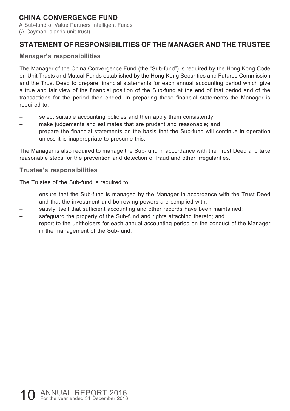A Sub-fund of Value Partners Intelligent Funds (A Cayman Islands unit trust)

### **STATEMENT OF RESPONSIBILITIES OF THE MANAGER AND THE TRUSTEE**

#### **Manager's responsibilities**

The Manager of the China Convergence Fund (the "Sub-fund") is required by the Hong Kong Code on Unit Trusts and Mutual Funds established by the Hong Kong Securities and Futures Commission and the Trust Deed to prepare financial statements for each annual accounting period which give a true and fair view of the financial position of the Sub-fund at the end of that period and of the transactions for the period then ended. In preparing these financial statements the Manager is required to:

- select suitable accounting policies and then apply them consistently;
- make judgements and estimates that are prudent and reasonable; and
- prepare the financial statements on the basis that the Sub-fund will continue in operation unless it is inappropriate to presume this.

The Manager is also required to manage the Sub-fund in accordance with the Trust Deed and take reasonable steps for the prevention and detection of fraud and other irregularities.

#### **Trustee's responsibilities**

The Trustee of the Sub-fund is required to:

- ensure that the Sub-fund is managed by the Manager in accordance with the Trust Deed and that the investment and borrowing powers are complied with;
- satisfy itself that sufficient accounting and other records have been maintained:
- safeguard the property of the Sub-fund and rights attaching thereto; and
- report to the unitholders for each annual accounting period on the conduct of the Manager in the management of the Sub-fund.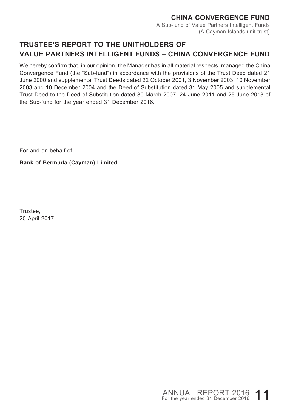#### **CHINA CONVERGENCE FUND** A Sub-fund of Value Partners Intelligent Funds (A Cayman Islands unit trust)

# **TRUSTEE'S REPORT TO THE UNITHOLDERS OF VALUE PARTNERS INTELLIGENT FUNDS – CHINA CONVERGENCE FUND**

We hereby confirm that, in our opinion, the Manager has in all material respects, managed the China Convergence Fund (the "Sub-fund") in accordance with the provisions of the Trust Deed dated 21 June 2000 and supplemental Trust Deeds dated 22 October 2001, 3 November 2003, 10 November 2003 and 10 December 2004 and the Deed of Substitution dated 31 May 2005 and supplemental Trust Deed to the Deed of Substitution dated 30 March 2007, 24 June 2011 and 25 June 2013 of the Sub-fund for the year ended 31 December 2016.

For and on behalf of

**Bank of Bermuda (Cayman) Limited**

Trustee, 20 April 2017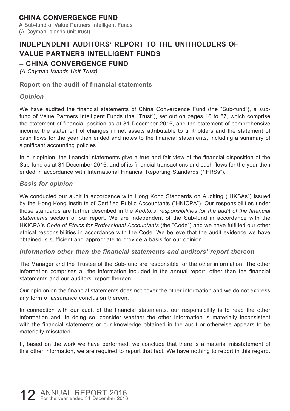A Sub-fund of Value Partners Intelligent Funds (A Cayman Islands unit trust)

# **INDEPENDENT AUDITORS' REPORT TO THE UNITHOLDERS OF VALUE PARTNERS INTELLIGENT FUNDS**

### **– CHINA CONVERGENCE FUND**

*(A Cayman Islands Unit Trust)*

#### **Report on the audit of financial statements**

#### *Opinion*

We have audited the financial statements of China Convergence Fund (the "Sub-fund"), a subfund of Value Partners Intelligent Funds (the "Trust"), set out on pages 16 to 57, which comprise the statement of financial position as at 31 December 2016, and the statement of comprehensive income, the statement of changes in net assets attributable to unitholders and the statement of cash flows for the year then ended and notes to the financial statements, including a summary of significant accounting policies.

In our opinion, the financial statements give a true and fair view of the financial disposition of the Sub-fund as at 31 December 2016, and of its financial transactions and cash flows for the year then ended in accordance with International Financial Reporting Standards ("IFRSs").

#### *Basis for opinion*

We conducted our audit in accordance with Hong Kong Standards on Auditing ("HKSAs") issued by the Hong Kong Institute of Certified Public Accountants ("HKICPA"). Our responsibilities under those standards are further described in the *Auditors' responsibilities for the audit of the financial statements* section of our report. We are independent of the Sub-fund in accordance with the HKICPA's *Code of Ethics for Professional Accountants* (the "Code") and we have fulfilled our other ethical responsibilities in accordance with the Code. We believe that the audit evidence we have obtained is sufficient and appropriate to provide a basis for our opinion.

#### *Information other than the financial statements and auditors' report thereon*

The Manager and the Trustee of the Sub-fund are responsible for the other information. The other information comprises all the information included in the annual report, other than the financial statements and our auditors' report thereon.

Our opinion on the financial statements does not cover the other information and we do not express any form of assurance conclusion thereon.

In connection with our audit of the financial statements, our responsibility is to read the other information and, in doing so, consider whether the other information is materially inconsistent with the financial statements or our knowledge obtained in the audit or otherwise appears to be materially misstated.

If, based on the work we have performed, we conclude that there is a material misstatement of this other information, we are required to report that fact. We have nothing to report in this regard.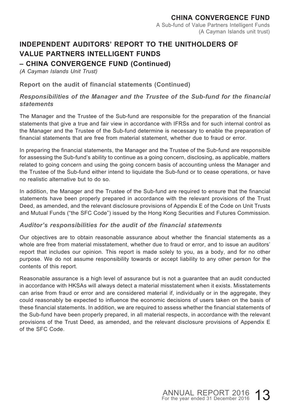# **INDEPENDENT AUDITORS' REPORT TO THE UNITHOLDERS OF VALUE PARTNERS INTELLIGENT FUNDS**

# **– CHINA CONVERGENCE FUND (Continued)**

*(A Cayman Islands Unit Trust)*

**Report on the audit of financial statements (Continued)**

#### *Responsibilities of the Manager and the Trustee of the Sub-fund for the financial statements*

The Manager and the Trustee of the Sub-fund are responsible for the preparation of the financial statements that give a true and fair view in accordance with IFRSs and for such internal control as the Manager and the Trustee of the Sub-fund determine is necessary to enable the preparation of financial statements that are free from material statement, whether due to fraud or error.

In preparing the financial statements, the Manager and the Trustee of the Sub-fund are responsible for assessing the Sub-fund's ability to continue as a going concern, disclosing, as applicable, matters related to going concern and using the going concern basis of accounting unless the Manager and the Trustee of the Sub-fund either intend to liquidate the Sub-fund or to cease operations, or have no realistic alternative but to do so.

In addition, the Manager and the Trustee of the Sub-fund are required to ensure that the financial statements have been properly prepared in accordance with the relevant provisions of the Trust Deed, as amended, and the relevant disclosure provisions of Appendix E of the Code on Unit Trusts and Mutual Funds ("the SFC Code") issued by the Hong Kong Securities and Futures Commission.

#### *Auditor's responsibilities for the audit of the financial statements*

Our objectives are to obtain reasonable assurance about whether the financial statements as a whole are free from material misstatement, whether due to fraud or error, and to issue an auditors' report that includes our opinion. This report is made solely to you, as a body, and for no other purpose. We do not assume responsibility towards or accept liability to any other person for the contents of this report.

Reasonable assurance is a high level of assurance but is not a guarantee that an audit conducted in accordance with HKSAs will always detect a material misstatement when it exists. Misstatements can arise from fraud or error and are considered material if, individually or in the aggregate, they could reasonably be expected to influence the economic decisions of users taken on the basis of these financial statements. In addition, we are required to assess whether the financial statements of the Sub-fund have been properly prepared, in all material respects, in accordance with the relevant provisions of the Trust Deed, as amended, and the relevant disclosure provisions of Appendix E of the SFC Code.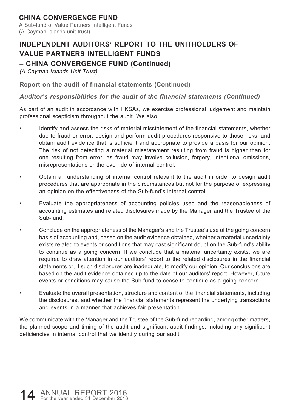A Sub-fund of Value Partners Intelligent Funds (A Cayman Islands unit trust)

# **INDEPENDENT AUDITORS' REPORT TO THE UNITHOLDERS OF VALUE PARTNERS INTELLIGENT FUNDS**

# **– CHINA CONVERGENCE FUND (Continued)**

*(A Cayman Islands Unit Trust)*

**Report on the audit of financial statements (Continued)**

*Auditor's responsibilities for the audit of the financial statements (Continued)*

As part of an audit in accordance with HKSAs, we exercise professional judgement and maintain professional scepticism throughout the audit. We also:

- Identify and assess the risks of material misstatement of the financial statements, whether due to fraud or error, design and perform audit procedures responsive to those risks, and obtain audit evidence that is sufficient and appropriate to provide a basis for our opinion. The risk of not detecting a material misstatement resulting from fraud is higher than for one resulting from error, as fraud may involve collusion, forgery, intentional omissions, misrepresentations or the override of internal control.
- Obtain an understanding of internal control relevant to the audit in order to design audit procedures that are appropriate in the circumstances but not for the purpose of expressing an opinion on the effectiveness of the Sub-fund's internal control.
- Evaluate the appropriateness of accounting policies used and the reasonableness of accounting estimates and related disclosures made by the Manager and the Trustee of the Sub-fund.
- Conclude on the appropriateness of the Manager's and the Trustee's use of the going concern basis of accounting and, based on the audit evidence obtained, whether a material uncertainty exists related to events or conditions that may cast significant doubt on the Sub-fund's ability to continue as a going concern. If we conclude that a material uncertainty exists, we are required to draw attention in our auditors' report to the related disclosures in the financial statements or, if such disclosures are inadequate, to modify our opinion. Our conclusions are based on the audit evidence obtained up to the date of our auditors' report. However, future events or conditions may cause the Sub-fund to cease to continue as a going concern.
- Evaluate the overall presentation, structure and content of the financial statements, including the disclosures, and whether the financial statements represent the underlying transactions and events in a manner that achieves fair presentation.

We communicate with the Manager and the Trustee of the Sub-fund regarding, among other matters, the planned scope and timing of the audit and significant audit findings, including any significant deficiencies in internal control that we identify during our audit.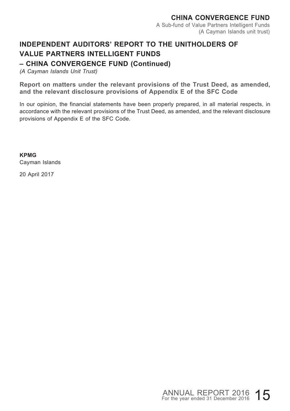# **INDEPENDENT AUDITORS' REPORT TO THE UNITHOLDERS OF VALUE PARTNERS INTELLIGENT FUNDS**

# **– CHINA CONVERGENCE FUND (Continued)**

*(A Cayman Islands Unit Trust)*

**Report on matters under the relevant provisions of the Trust Deed, as amended, and the relevant disclosure provisions of Appendix E of the SFC Code**

In our opinion, the financial statements have been properly prepared, in all material respects, in accordance with the relevant provisions of the Trust Deed, as amended, and the relevant disclosure provisions of Appendix E of the SFC Code.

**KPMG** Cayman Islands

20 April 2017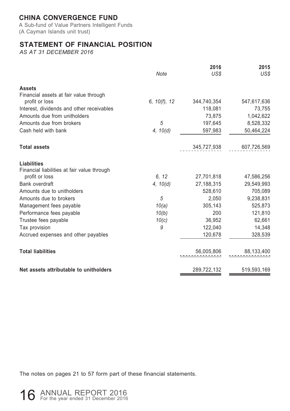A Sub-fund of Value Partners Intelligent Funds (A Cayman Islands unit trust)

# **STATEMENT OF FINANCIAL POSITION**

*AS AT 31 DECEMBER 2016*

|                                             | Note         | 2016<br>US\$ | 2015<br>US\$ |
|---------------------------------------------|--------------|--------------|--------------|
| <b>Assets</b>                               |              |              |              |
| Financial assets at fair value through      |              |              |              |
| profit or loss                              | 6, 10(f), 12 | 344,740,354  | 547,617,636  |
| Interest, dividends and other receivables   |              | 118,081      | 73,755       |
| Amounts due from unitholders                |              | 73,875       | 1,042,622    |
| Amounts due from brokers                    | 5            | 197,645      | 8,528,332    |
| Cash held with bank                         | 4, 10(d)     | 597,983      | 50,464,224   |
| <b>Total assets</b>                         |              | 345,727,938  | 607,726,569  |
| Liabilities                                 |              |              |              |
| Financial liabilities at fair value through |              |              |              |
| profit or loss                              | 6.12         | 27,701,818   | 47,586,256   |
| Bank overdraft                              | 4, 10(d)     | 27,188,315   | 29,549,993   |
| Amounts due to unitholders                  |              | 528,610      | 705,089      |
| Amounts due to brokers                      | 5            | 2,050        | 9,238,831    |
| Management fees payable                     | 10(a)        | 305,143      | 525,873      |
| Performance fees payable                    | 10(b)        | 200          | 121,810      |
| Trustee fees payable                        | 10(c)        | 36,952       | 62,661       |
| Tax provision                               | 9            | 122,040      | 14,348       |
| Accrued expenses and other payables         |              | 120,678      | 328,539      |
| <b>Total liabilities</b>                    |              | 56,005,806   | 88,133,400   |
| Net assets attributable to unitholders      |              | 289,722,132  | 519,593,169  |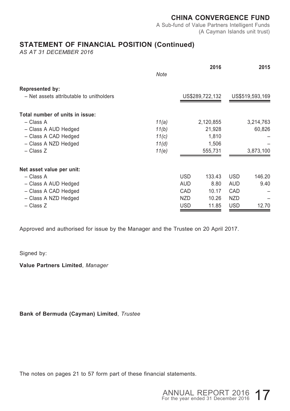A Sub-fund of Value Partners Intelligent Funds (A Cayman Islands unit trust)

### **STATEMENT OF FINANCIAL POSITION (Continued)**

*AS AT 31 DECEMBER 2016*

|                                          |       |            | 2016            |            | 2015            |
|------------------------------------------|-------|------------|-----------------|------------|-----------------|
|                                          | Note  |            |                 |            |                 |
| Represented by:                          |       |            |                 |            |                 |
| - Net assets attributable to unitholders |       |            | US\$289,722,132 |            | US\$519,593,169 |
| Total number of units in issue:          |       |            |                 |            |                 |
| - Class A                                | 11(a) |            | 2,120,855       |            | 3,214,763       |
| - Class A AUD Hedged                     | 11(b) |            | 21,928          |            | 60,826          |
| - Class A CAD Hedged                     | 11(c) |            | 1,810           |            |                 |
| - Class A NZD Hedged                     | 11(d) |            | 1,506           |            |                 |
| $-$ Class Z                              | 11(e) |            | 555,731         |            | 3,873,100       |
| Net asset value per unit:                |       |            |                 |            |                 |
| - Class A                                |       | <b>USD</b> | 133.43          | <b>USD</b> | 146.20          |
| - Class A AUD Hedged                     |       | <b>AUD</b> | 8.80            | <b>AUD</b> | 9.40            |
| - Class A CAD Hedged                     |       | CAD        | 10.17           | CAD        |                 |
| - Class A NZD Hedged                     |       | <b>NZD</b> | 10.26           | <b>NZD</b> |                 |
| - Class Z                                |       | <b>USD</b> | 11.85           | <b>USD</b> | 12.70           |

Approved and authorised for issue by the Manager and the Trustee on 20 April 2017.

Signed by:

**Value Partners Limited**, *Manager*

**Bank of Bermuda (Cayman) Limited**, *Trustee*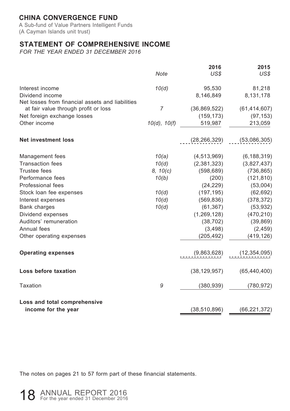A Sub-fund of Value Partners Intelligent Funds (A Cayman Islands unit trust)

### **STATEMENT OF COMPREHENSIVE INCOME**

*FOR THE YEAR ENDED 31 DECEMBER 2016*

|                                                  |                | 2016           | 2015           |
|--------------------------------------------------|----------------|----------------|----------------|
|                                                  | <b>Note</b>    | US\$           | US\$           |
| Interest income                                  | 10(d)          | 95,530         | 81,218         |
| Dividend income                                  |                | 8,146,849      | 8,131,178      |
| Net losses from financial assets and liabilities |                |                |                |
| at fair value through profit or loss             | $\overline{7}$ | (36,869,522)   | (61, 414, 607) |
| Net foreign exchange losses                      |                | (159, 173)     | (97, 153)      |
| Other income                                     | 10(d), 10(f)   | 519,987        | 213,059        |
| <b>Net investment loss</b>                       |                | (28, 266, 329) | (53,086,305)   |
| Management fees                                  | 10(a)          | (4, 513, 969)  | (6, 188, 319)  |
| <b>Transaction fees</b>                          | 10(d)          | (2,381,323)    | (3,827,437)    |
| Trustee fees                                     | 8, 10(c)       | (598, 689)     | (736, 865)     |
| Performance fees                                 | 10(b)          | (200)          | (121, 810)     |
| Professional fees                                |                | (24, 229)      | (53,004)       |
| Stock loan fee expenses                          | 10(d)          | (197, 195)     | (62, 692)      |
| Interest expenses                                | 10(d)          | (569, 836)     | (378, 372)     |
| Bank charges                                     | 10(d)          | (61, 367)      | (53, 932)      |
| Dividend expenses                                |                | (1, 269, 128)  | (470, 210)     |
| Auditors' remuneration                           |                | (38, 702)      | (39, 869)      |
| Annual fees                                      |                | (3, 498)       | (2, 459)       |
| Other operating expenses                         |                | (205, 492)     | (419, 126)     |
| <b>Operating expenses</b>                        |                | (9,863,628)    | (12, 354, 095) |
| Loss before taxation                             |                | (38, 129, 957) | (65, 440, 400) |
| Taxation                                         | 9              | (380, 939)     | (780, 972)     |
| Loss and total comprehensive                     |                |                |                |
| income for the year                              |                | (38, 510, 896) | (66, 221, 372) |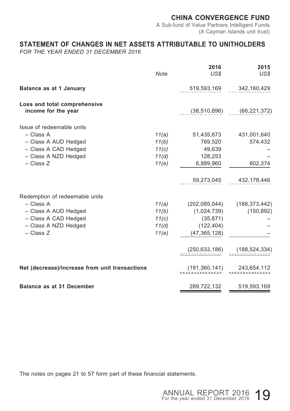A Sub-fund of Value Partners Intelligent Funds (A Cayman Islands unit trust)

### **STATEMENT OF CHANGES IN NET ASSETS ATTRIBUTABLE TO UNITHOLDERS**

*FOR THE YEAR ENDED 31 DECEMBER 2016*

|                                                     | Note  | 2016<br>US\$    | 2015<br>US\$                |
|-----------------------------------------------------|-------|-----------------|-----------------------------|
| Balance as at 1 January                             |       | 519,593,169     | 342,160,429                 |
| Loss and total comprehensive<br>income for the year |       | (38, 510, 896)  | (66, 221, 372)              |
| Issue of redeemable units                           |       |                 |                             |
| - Class A                                           | 11(a) |                 | 51,435,673 431,001,640      |
| - Class A AUD Hedged                                | 11(b) | 769,520         | 574,432                     |
| - Class A CAD Hedged                                | 11(c) | 49,639          |                             |
| - Class A NZD Hedged                                | 11(d) | 128,253         |                             |
| $-$ Class Z                                         | 11(e) | 6,889,960       | 602,374                     |
|                                                     |       | 59,273,045      | 432,178,446                 |
| Redemption of redeemable units                      |       |                 |                             |
| - Class A                                           | 11(a) |                 | (202,085,044) (188,373,442) |
| - Class A AUD Hedged                                | 11(b) | (1,024,739)     | (150, 892)                  |
| - Class A CAD Hedged                                | 11(c) | (35, 871)       |                             |
| - Class A NZD Hedged                                | 11(d) | (122, 404)      |                             |
| $-$ Class Z                                         | 11(e) | (47, 365, 128)  |                             |
|                                                     |       | (250, 633, 186) | (188, 524, 334)             |
| Net (decrease)/increase from unit transactions      |       |                 | $(191,360,141)$ 243,654,112 |
| <b>Balance as at 31 December</b>                    |       | 289,722,132     | 519,593,169                 |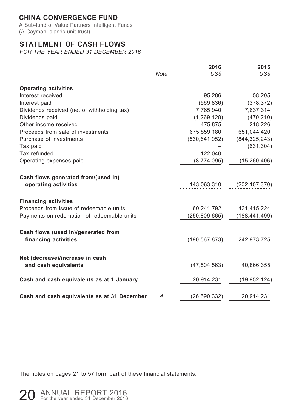A Sub-fund of Value Partners Intelligent Funds (A Cayman Islands unit trust)

### **STATEMENT OF CASH FLOWS**

*FOR THE YEAR ENDED 31 DECEMBER 2016*

|                                             | <b>Note</b> | 2016<br>US\$   | 2015<br>US\$                        |
|---------------------------------------------|-------------|----------------|-------------------------------------|
| <b>Operating activities</b>                 |             |                |                                     |
| Interest received                           |             | 95,286         | 58,205                              |
| Interest paid                               |             | (569, 836)     | (378, 372)                          |
| Dividends received (net of withholding tax) |             | 7,765,940      | 7,637,314                           |
| Dividends paid                              |             | (1,269,128)    | (470, 210)                          |
| Other income received                       |             | 475,875        | 218,226                             |
| Proceeds from sale of investments           |             | 675,859,180    | 651,044,420                         |
| Purchase of investments                     |             |                | $(530, 641, 952)$ $(844, 325, 243)$ |
| Tax paid                                    |             |                | (631, 304)                          |
| Tax refunded                                |             | 122,040        |                                     |
| Operating expenses paid                     |             | (8,774,095)    | (15, 260, 406)                      |
| Cash flows generated from/(used in)         |             |                |                                     |
| operating activities                        |             |                | 143,063,310 (202,107,370)           |
| <b>Financing activities</b>                 |             |                |                                     |
| Proceeds from issue of redeemable units     |             | 60,241,792     | 431,415,224                         |
| Payments on redemption of redeemable units  |             | (250,809,665)  | (188, 441, 499)                     |
| Cash flows (used in)/generated from         |             |                |                                     |
| financing activities                        |             |                | $(190, 567, 873)$ 242,973,725       |
| Net (decrease)/increase in cash             |             |                |                                     |
| and cash equivalents                        |             | (47, 504, 563) | 40,866,355                          |
| Cash and cash equivalents as at 1 January   |             | 20,914,231     | (19, 952, 124)                      |
| Cash and cash equivalents as at 31 December | 4           | (26, 590, 332) | 20,914,231                          |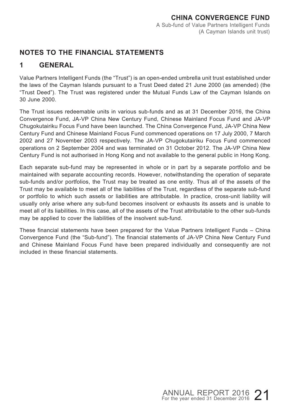# **NOTES TO THE FINANCIAL STATEMENTS**

# **1 GENERAL**

Value Partners Intelligent Funds (the "Trust") is an open-ended umbrella unit trust established under the laws of the Cayman Islands pursuant to a Trust Deed dated 21 June 2000 (as amended) (the "Trust Deed"). The Trust was registered under the Mutual Funds Law of the Cayman Islands on 30 June 2000.

The Trust issues redeemable units in various sub-funds and as at 31 December 2016, the China Convergence Fund, JA-VP China New Century Fund, Chinese Mainland Focus Fund and JA-VP Chugokutairiku Focus Fund have been launched. The China Convergence Fund, JA-VP China New Century Fund and Chinese Mainland Focus Fund commenced operations on 17 July 2000, 7 March 2002 and 27 November 2003 respectively. The JA-VP Chugokutairiku Focus Fund commenced operations on 2 September 2004 and was terminated on 31 October 2012. The JA-VP China New Century Fund is not authorised in Hong Kong and not available to the general public in Hong Kong.

Each separate sub-fund may be represented in whole or in part by a separate portfolio and be maintained with separate accounting records. However, notwithstanding the operation of separate sub-funds and/or portfolios, the Trust may be treated as one entity. Thus all of the assets of the Trust may be available to meet all of the liabilities of the Trust, regardless of the separate sub-fund or portfolio to which such assets or liabilities are attributable. In practice, cross-unit liability will usually only arise where any sub-fund becomes insolvent or exhausts its assets and is unable to meet all of its liabilities. In this case, all of the assets of the Trust attributable to the other sub-funds may be applied to cover the liabilities of the insolvent sub-fund.

These financial statements have been prepared for the Value Partners Intelligent Funds – China Convergence Fund (the "Sub-fund"). The financial statements of JA-VP China New Century Fund and Chinese Mainland Focus Fund have been prepared individually and consequently are not included in these financial statements.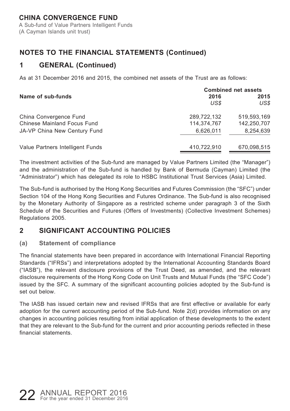A Sub-fund of Value Partners Intelligent Funds (A Cayman Islands unit trust)

# **NOTES TO THE FINANCIAL STATEMENTS (Continued)**

# **1 GENERAL (Continued)**

As at 31 December 2016 and 2015, the combined net assets of the Trust are as follows:

|                                  |              | <b>Combined net assets</b> |
|----------------------------------|--------------|----------------------------|
| Name of sub-funds                | 2016<br>US\$ | 2015<br>US\$               |
| China Convergence Fund           | 289.722.132  | 519,593,169                |
| Chinese Mainland Focus Fund      | 114.374.767  | 142,250,707                |
| JA-VP China New Century Fund     | 6.626.011    | 8,254,639                  |
| Value Partners Intelligent Funds | 410.722.910  | 670,098,515                |

The investment activities of the Sub-fund are managed by Value Partners Limited (the "Manager") and the administration of the Sub-fund is handled by Bank of Bermuda (Cayman) Limited (the "Administrator") which has delegated its role to HSBC Institutional Trust Services (Asia) Limited.

The Sub-fund is authorised by the Hong Kong Securities and Futures Commission (the "SFC") under Section 104 of the Hong Kong Securities and Futures Ordinance. The Sub-fund is also recognised by the Monetary Authority of Singapore as a restricted scheme under paragraph 3 of the Sixth Schedule of the Securities and Futures (Offers of Investments) (Collective Investment Schemes) Regulations 2005.

# **2 SIGNIFICANT ACCOUNTING POLICIES**

#### **(a) Statement of compliance**

The financial statements have been prepared in accordance with International Financial Reporting Standards ("IFRSs") and interpretations adopted by the International Accounting Standards Board ("IASB"), the relevant disclosure provisions of the Trust Deed, as amended, and the relevant disclosure requirements of the Hong Kong Code on Unit Trusts and Mutual Funds (the "SFC Code") issued by the SFC. A summary of the significant accounting policies adopted by the Sub-fund is set out below.

The IASB has issued certain new and revised IFRSs that are first effective or available for early adoption for the current accounting period of the Sub-fund. Note 2(d) provides information on any changes in accounting policies resulting from initial application of these developments to the extent that they are relevant to the Sub-fund for the current and prior accounting periods reflected in these financial statements.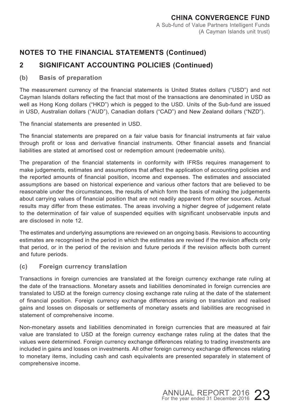# **2 SIGNIFICANT ACCOUNTING POLICIES (Continued)**

#### **(b) Basis of preparation**

The measurement currency of the financial statements is United States dollars ("USD") and not Cayman Islands dollars reflecting the fact that most of the transactions are denominated in USD as well as Hong Kong dollars ("HKD") which is pegged to the USD. Units of the Sub-fund are issued in USD, Australian dollars ("AUD"), Canadian dollars ("CAD") and New Zealand dollars ("NZD").

The financial statements are presented in USD.

The financial statements are prepared on a fair value basis for financial instruments at fair value through profit or loss and derivative financial instruments. Other financial assets and financial liabilities are stated at amortised cost or redemption amount (redeemable units).

The preparation of the financial statements in conformity with IFRSs requires management to make judgements, estimates and assumptions that affect the application of accounting policies and the reported amounts of financial position, income and expenses. The estimates and associated assumptions are based on historical experience and various other factors that are believed to be reasonable under the circumstances, the results of which form the basis of making the judgements about carrying values of financial position that are not readily apparent from other sources. Actual results may differ from these estimates. The areas involving a higher degree of judgement relate to the determination of fair value of suspended equities with significant unobservable inputs and are disclosed in note 12.

The estimates and underlying assumptions are reviewed on an ongoing basis. Revisions to accounting estimates are recognised in the period in which the estimates are revised if the revision affects only that period, or in the period of the revision and future periods if the revision affects both current and future periods.

#### **(c) Foreign currency translation**

Transactions in foreign currencies are translated at the foreign currency exchange rate ruling at the date of the transactions. Monetary assets and liabilities denominated in foreign currencies are translated to USD at the foreign currency closing exchange rate ruling at the date of the statement of financial position. Foreign currency exchange differences arising on translation and realised gains and losses on disposals or settlements of monetary assets and liabilities are recognised in statement of comprehensive income.

Non-monetary assets and liabilities denominated in foreign currencies that are measured at fair value are translated to USD at the foreign currency exchange rates ruling at the dates that the values were determined. Foreign currency exchange differences relating to trading investments are included in gains and losses on investments. All other foreign currency exchange differences relating to monetary items, including cash and cash equivalents are presented separately in statement of comprehensive income.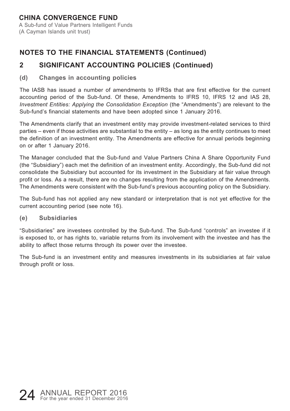#### **CHINA CONVERGENCE FUND** A Sub-fund of Value Partners Intelligent Funds (A Cayman Islands unit trust)

# **NOTES TO THE FINANCIAL STATEMENTS (Continued)**

# **2 SIGNIFICANT ACCOUNTING POLICIES (Continued)**

#### **(d) Changes in accounting policies**

The IASB has issued a number of amendments to IFRSs that are first effective for the current accounting period of the Sub-fund. Of these, Amendments to IFRS 10, IFRS 12 and IAS 28, *Investment Entities: Applying the Consolidation Exception* (the "Amendments") are relevant to the Sub-fund's financial statements and have been adopted since 1 January 2016.

The Amendments clarify that an investment entity may provide investment-related services to third parties – even if those activities are substantial to the entity – as long as the entity continues to meet the definition of an investment entity. The Amendments are effective for annual periods beginning on or after 1 January 2016.

The Manager concluded that the Sub-fund and Value Partners China A Share Opportunity Fund (the "Subsidiary") each met the definition of an investment entity. Accordingly, the Sub-fund did not consolidate the Subsidiary but accounted for its investment in the Subsidiary at fair value through profit or loss. As a result, there are no changes resulting from the application of the Amendments. The Amendments were consistent with the Sub-fund's previous accounting policy on the Subsidiary.

The Sub-fund has not applied any new standard or interpretation that is not yet effective for the current accounting period (see note 16).

#### **(e) Subsidiaries**

"Subsidiaries" are investees controlled by the Sub-fund. The Sub-fund "controls" an investee if it is exposed to, or has rights to, variable returns from its involvement with the investee and has the ability to affect those returns through its power over the investee.

The Sub-fund is an investment entity and measures investments in its subsidiaries at fair value through profit or loss.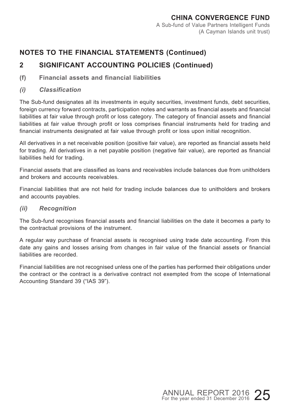# **2 SIGNIFICANT ACCOUNTING POLICIES (Continued)**

- **(f) Financial assets and financial liabilities**
- *(i) Classification*

The Sub-fund designates all its investments in equity securities, investment funds, debt securities, foreign currency forward contracts, participation notes and warrants as financial assets and financial liabilities at fair value through profit or loss category. The category of financial assets and financial liabilities at fair value through profit or loss comprises financial instruments held for trading and financial instruments designated at fair value through profit or loss upon initial recognition.

All derivatives in a net receivable position (positive fair value), are reported as financial assets held for trading. All derivatives in a net payable position (negative fair value), are reported as financial liabilities held for trading.

Financial assets that are classified as loans and receivables include balances due from unitholders and brokers and accounts receivables.

Financial liabilities that are not held for trading include balances due to unitholders and brokers and accounts payables.

*(ii) Recognition*

The Sub-fund recognises financial assets and financial liabilities on the date it becomes a party to the contractual provisions of the instrument.

A regular way purchase of financial assets is recognised using trade date accounting. From this date any gains and losses arising from changes in fair value of the financial assets or financial liabilities are recorded.

Financial liabilities are not recognised unless one of the parties has performed their obligations under the contract or the contract is a derivative contract not exempted from the scope of International Accounting Standard 39 ("IAS 39").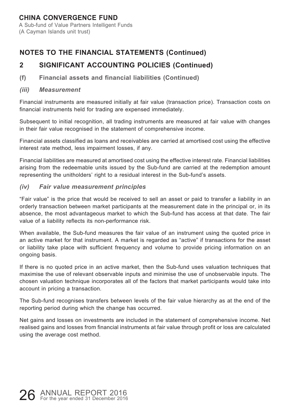A Sub-fund of Value Partners Intelligent Funds (A Cayman Islands unit trust)

# **NOTES TO THE FINANCIAL STATEMENTS (Continued)**

# **2 SIGNIFICANT ACCOUNTING POLICIES (Continued)**

**(f) Financial assets and financial liabilities (Continued)**

#### *(iii) Measurement*

Financial instruments are measured initially at fair value (transaction price). Transaction costs on financial instruments held for trading are expensed immediately.

Subsequent to initial recognition, all trading instruments are measured at fair value with changes in their fair value recognised in the statement of comprehensive income.

Financial assets classified as loans and receivables are carried at amortised cost using the effective interest rate method, less impairment losses, if any.

Financial liabilities are measured at amortised cost using the effective interest rate. Financial liabilities arising from the redeemable units issued by the Sub-fund are carried at the redemption amount representing the unitholders' right to a residual interest in the Sub-fund's assets.

#### *(iv) Fair value measurement principles*

"Fair value" is the price that would be received to sell an asset or paid to transfer a liability in an orderly transaction between market participants at the measurement date in the principal or, in its absence, the most advantageous market to which the Sub-fund has access at that date. The fair value of a liability reflects its non-performance risk.

When available, the Sub-fund measures the fair value of an instrument using the quoted price in an active market for that instrument. A market is regarded as "active" if transactions for the asset or liability take place with sufficient frequency and volume to provide pricing information on an ongoing basis.

If there is no quoted price in an active market, then the Sub-fund uses valuation techniques that maximise the use of relevant observable inputs and minimise the use of unobservable inputs. The chosen valuation technique incorporates all of the factors that market participants would take into account in pricing a transaction.

The Sub-fund recognises transfers between levels of the fair value hierarchy as at the end of the reporting period during which the change has occurred.

Net gains and losses on investments are included in the statement of comprehensive income. Net realised gains and losses from financial instruments at fair value through profit or loss are calculated using the average cost method.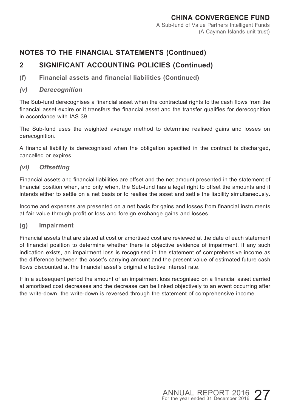# **2 SIGNIFICANT ACCOUNTING POLICIES (Continued)**

**(f) Financial assets and financial liabilities (Continued)**

#### *(v) Derecognition*

The Sub-fund derecognises a financial asset when the contractual rights to the cash flows from the financial asset expire or it transfers the financial asset and the transfer qualifies for derecognition in accordance with IAS 39.

The Sub-fund uses the weighted average method to determine realised gains and losses on derecognition.

A financial liability is derecognised when the obligation specified in the contract is discharged, cancelled or expires.

#### *(vi) Offsetting*

Financial assets and financial liabilities are offset and the net amount presented in the statement of financial position when, and only when, the Sub-fund has a legal right to offset the amounts and it intends either to settle on a net basis or to realise the asset and settle the liability simultaneously.

Income and expenses are presented on a net basis for gains and losses from financial instruments at fair value through profit or loss and foreign exchange gains and losses.

#### **(g) Impairment**

Financial assets that are stated at cost or amortised cost are reviewed at the date of each statement of financial position to determine whether there is objective evidence of impairment. If any such indication exists, an impairment loss is recognised in the statement of comprehensive income as the difference between the asset's carrying amount and the present value of estimated future cash flows discounted at the financial asset's original effective interest rate.

If in a subsequent period the amount of an impairment loss recognised on a financial asset carried at amortised cost decreases and the decrease can be linked objectively to an event occurring after the write-down, the write-down is reversed through the statement of comprehensive income.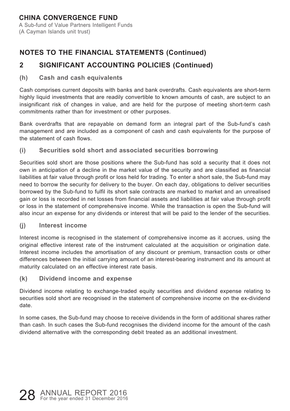#### **CHINA CONVERGENCE FUND** A Sub-fund of Value Partners Intelligent Funds (A Cayman Islands unit trust)

# **NOTES TO THE FINANCIAL STATEMENTS (Continued)**

# **2 SIGNIFICANT ACCOUNTING POLICIES (Continued)**

#### **(h) Cash and cash equivalents**

Cash comprises current deposits with banks and bank overdrafts. Cash equivalents are short-term highly liquid investments that are readily convertible to known amounts of cash, are subject to an insignificant risk of changes in value, and are held for the purpose of meeting short-term cash commitments rather than for investment or other purposes.

Bank overdrafts that are repayable on demand form an integral part of the Sub-fund's cash management and are included as a component of cash and cash equivalents for the purpose of the statement of cash flows.

**(i) Securities sold short and associated securities borrowing**

Securities sold short are those positions where the Sub-fund has sold a security that it does not own in anticipation of a decline in the market value of the security and are classified as financial liabilities at fair value through profit or loss held for trading. To enter a short sale, the Sub-fund may need to borrow the security for delivery to the buyer. On each day, obligations to deliver securities borrowed by the Sub-fund to fulfil its short sale contracts are marked to market and an unrealised gain or loss is recorded in net losses from financial assets and liabilities at fair value through profit or loss in the statement of comprehensive income. While the transaction is open the Sub-fund will also incur an expense for any dividends or interest that will be paid to the lender of the securities.

**(j) Interest income**

Interest income is recognised in the statement of comprehensive income as it accrues, using the original effective interest rate of the instrument calculated at the acquisition or origination date. Interest income includes the amortisation of any discount or premium, transaction costs or other differences between the initial carrying amount of an interest-bearing instrument and its amount at maturity calculated on an effective interest rate basis.

**(k) Dividend income and expense**

Dividend income relating to exchange-traded equity securities and dividend expense relating to securities sold short are recognised in the statement of comprehensive income on the ex-dividend date.

In some cases, the Sub-fund may choose to receive dividends in the form of additional shares rather than cash. In such cases the Sub-fund recognises the dividend income for the amount of the cash dividend alternative with the corresponding debit treated as an additional investment.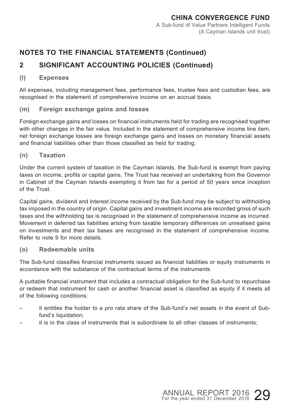# **2 SIGNIFICANT ACCOUNTING POLICIES (Continued)**

#### **(l) Expenses**

All expenses, including management fees, performance fees, trustee fees and custodian fees, are recognised in the statement of comprehensive income on an accrual basis.

#### **(m) Foreign exchange gains and losses**

Foreign exchange gains and losses on financial instruments held for trading are recognised together with other changes in the fair value. Included in the statement of comprehensive income line item, net foreign exchange losses are foreign exchange gains and losses on monetary financial assets and financial liabilities other than those classified as held for trading.

**(n) Taxation**

Under the current system of taxation in the Cayman Islands, the Sub-fund is exempt from paying taxes on income, profits or capital gains. The Trust has received an undertaking from the Governor in Cabinet of the Cayman Islands exempting it from tax for a period of 50 years since inception of the Trust.

Capital gains, dividend and interest income received by the Sub-fund may be subject to withholding tax imposed in the country of origin. Capital gains and investment income are recorded gross of such taxes and the withholding tax is recognised in the statement of comprehensive income as incurred. Movement in deferred tax liabilities arising from taxable temporary differences on unrealised gains on investments and their tax bases are recognised in the statement of comprehensive income. Refer to note 9 for more details.

**(o) Redeemable units**

The Sub-fund classifies financial instruments issued as financial liabilities or equity instruments in accordance with the substance of the contractual terms of the instruments.

A puttable financial instrument that includes a contractual obligation for the Sub-fund to repurchase or redeem that instrument for cash or another financial asset is classified as equity if it meets all of the following conditions:

- it entitles the holder to a pro rata share of the Sub-fund's net assets in the event of Subfund's liquidation;
- it is in the class of instruments that is subordinate to all other classes of instruments;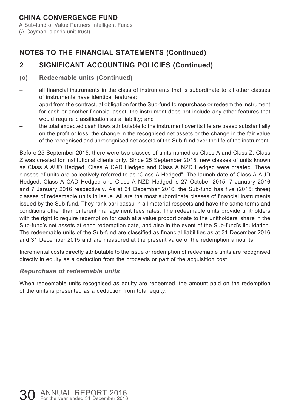A Sub-fund of Value Partners Intelligent Funds (A Cayman Islands unit trust)

# **NOTES TO THE FINANCIAL STATEMENTS (Continued)**

# **2 SIGNIFICANT ACCOUNTING POLICIES (Continued)**

#### **(o) Redeemable units (Continued)**

- all financial instruments in the class of instruments that is subordinate to all other classes of instruments have identical features;
- apart from the contractual obligation for the Sub-fund to repurchase or redeem the instrument for cash or another financial asset, the instrument does not include any other features that would require classification as a liability; and
- the total expected cash flows attributable to the instrument over its life are based substantially on the profit or loss, the change in the recognised net assets or the change in the fair value of the recognised and unrecognised net assets of the Sub-fund over the life of the instrument.

Before 25 September 2015, there were two classes of units named as Class A and Class Z. Class Z was created for institutional clients only. Since 25 September 2015, new classes of units known as Class A AUD Hedged, Class A CAD Hedged and Class A NZD Hedged were created. These classes of units are collectively referred to as "Class A Hedged". The launch date of Class A AUD Hedged, Class A CAD Hedged and Class A NZD Hedged is 27 October 2015, 7 January 2016 and 7 January 2016 respectively. As at 31 December 2016, the Sub-fund has five (2015: three) classes of redeemable units in issue. All are the most subordinate classes of financial instruments issued by the Sub-fund. They rank pari passu in all material respects and have the same terms and conditions other than different management fees rates. The redeemable units provide unitholders with the right to require redemption for cash at a value proportionate to the unitholders' share in the Sub-fund's net assets at each redemption date, and also in the event of the Sub-fund's liquidation. The redeemable units of the Sub-fund are classified as financial liabilities as at 31 December 2016 and 31 December 2015 and are measured at the present value of the redemption amounts.

Incremental costs directly attributable to the issue or redemption of redeemable units are recognised directly in equity as a deduction from the proceeds or part of the acquisition cost.

#### *Repurchase of redeemable units*

When redeemable units recognised as equity are redeemed, the amount paid on the redemption of the units is presented as a deduction from total equity.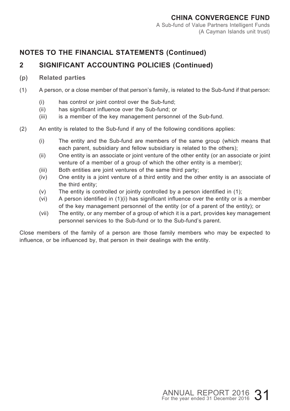# **2 SIGNIFICANT ACCOUNTING POLICIES (Continued)**

#### **(p) Related parties**

- (1) A person, or a close member of that person's family, is related to the Sub-fund if that person:
	- (i) has control or joint control over the Sub-fund;
	- (ii) has significant influence over the Sub-fund; or
	- (iii) is a member of the key management personnel of the Sub-fund.
- (2) An entity is related to the Sub-fund if any of the following conditions applies:
	- (i) The entity and the Sub-fund are members of the same group (which means that each parent, subsidiary and fellow subsidiary is related to the others);
	- (ii) One entity is an associate or joint venture of the other entity (or an associate or joint venture of a member of a group of which the other entity is a member);
	- (iii) Both entities are joint ventures of the same third party;
	- (iv) One entity is a joint venture of a third entity and the other entity is an associate of the third entity;
	- (v) The entity is controlled or jointly controlled by a person identified in (1);
	- (vi) A person identified in (1)(i) has significant influence over the entity or is a member of the key management personnel of the entity (or of a parent of the entity); or
	- (vii) The entity, or any member of a group of which it is a part, provides key management personnel services to the Sub-fund or to the Sub-fund's parent.

Close members of the family of a person are those family members who may be expected to influence, or be influenced by, that person in their dealings with the entity.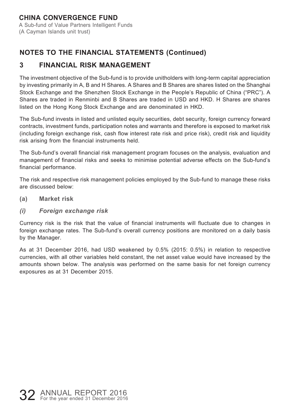A Sub-fund of Value Partners Intelligent Funds (A Cayman Islands unit trust)

# **NOTES TO THE FINANCIAL STATEMENTS (Continued)**

# **3 FINANCIAL RISK MANAGEMENT**

The investment objective of the Sub-fund is to provide unitholders with long-term capital appreciation by investing primarily in A, B and H Shares. A Shares and B Shares are shares listed on the Shanghai Stock Exchange and the Shenzhen Stock Exchange in the People's Republic of China ("PRC"). A Shares are traded in Renminbi and B Shares are traded in USD and HKD. H Shares are shares listed on the Hong Kong Stock Exchange and are denominated in HKD.

The Sub-fund invests in listed and unlisted equity securities, debt security, foreign currency forward contracts, investment funds, participation notes and warrants and therefore is exposed to market risk (including foreign exchange risk, cash flow interest rate risk and price risk), credit risk and liquidity risk arising from the financial instruments held.

The Sub-fund's overall financial risk management program focuses on the analysis, evaluation and management of financial risks and seeks to minimise potential adverse effects on the Sub-fund's financial performance.

The risk and respective risk management policies employed by the Sub-fund to manage these risks are discussed below:

- **(a) Market risk**
- *(i) Foreign exchange risk*

Currency risk is the risk that the value of financial instruments will fluctuate due to changes in foreign exchange rates. The Sub-fund's overall currency positions are monitored on a daily basis by the Manager.

As at 31 December 2016, had USD weakened by 0.5% (2015: 0.5%) in relation to respective currencies, with all other variables held constant, the net asset value would have increased by the amounts shown below. The analysis was performed on the same basis for net foreign currency exposures as at 31 December 2015.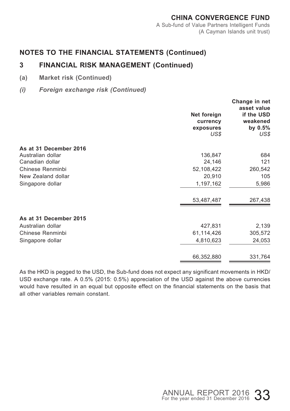#### **CHINA CONVERGENCE FUND** A Sub-fund of Value Partners Intelligent Funds (A Cayman Islands unit trust)

### **NOTES TO THE FINANCIAL STATEMENTS (Continued)**

# **3 FINANCIAL RISK MANAGEMENT (Continued)**

- **(a) Market risk (Continued)**
- *(i) Foreign exchange risk (Continued)*

| Net foreign<br>currency<br>exposures<br>US\$ | Change in net<br>asset value<br>if the USD<br>weakened<br>by 0.5%<br>US\$ |
|----------------------------------------------|---------------------------------------------------------------------------|
| As at 31 December 2016                       |                                                                           |
| Australian dollar<br>136,847                 | 684                                                                       |
| Canadian dollar<br>24,146                    | 121                                                                       |
| Chinese Renminbi<br>52,108,422               | 260,542                                                                   |
| New Zealand dollar<br>20,910                 | 105                                                                       |
| Singapore dollar<br>1,197,162                | 5,986                                                                     |
| 53,487,487                                   | 267,438                                                                   |
| As at 31 December 2015                       |                                                                           |
| Australian dollar<br>427,831                 | 2,139                                                                     |
| Chinese Renminbi<br>61,114,426               | 305,572                                                                   |
| 4,810,623<br>Singapore dollar                | 24,053                                                                    |
| 66,352,880                                   | 331,764                                                                   |

As the HKD is pegged to the USD, the Sub-fund does not expect any significant movements in HKD/ USD exchange rate. A 0.5% (2015: 0.5%) appreciation of the USD against the above currencies would have resulted in an equal but opposite effect on the financial statements on the basis that all other variables remain constant.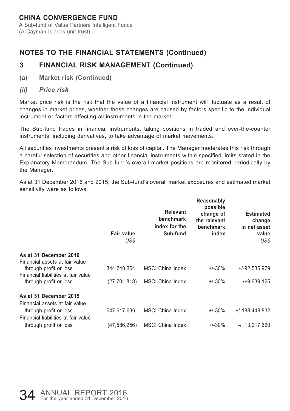(A Cayman Islands unit trust)

# **NOTES TO THE FINANCIAL STATEMENTS (Continued)**

# **3 FINANCIAL RISK MANAGEMENT (Continued)**

- **(a) Market risk (Continued)**
- *(ii) Price risk*

Market price risk is the risk that the value of a financial instrument will fluctuate as a result of changes in market prices, whether those changes are caused by factors specific to the individual instrument or factors affecting all instruments in the market.

The Sub-fund trades in financial instruments, taking positions in traded and over-the-counter instruments, including derivatives, to take advantage of market movements.

All securities investments present a risk of loss of capital. The Manager moderates this risk through a careful selection of securities and other financial instruments within specified limits stated in the Explanatory Memorandum. The Sub-fund's overall market positions are monitored periodically by the Manager.

As at 31 December 2016 and 2015, the Sub-fund's overall market exposures and estimated market sensitivity were as follows:

|                                                               | Fair value<br>US\$ | <b>Relevant</b><br>benchmark<br>index for the<br>Sub-fund | Reasonably<br>possible<br>change of<br>the relevant<br>benchmark<br>index | <b>Estimated</b><br>change<br>in net asset<br>value<br>US\$ |
|---------------------------------------------------------------|--------------------|-----------------------------------------------------------|---------------------------------------------------------------------------|-------------------------------------------------------------|
| As at 31 December 2016<br>Financial assets at fair value      |                    |                                                           |                                                                           |                                                             |
| through profit or loss<br>Financial liabilities at fair value | 344,740,354        | <b>MSCI China Index</b>                                   | $+/-30%$                                                                  | +/-92,535,979                                               |
| through profit or loss                                        | (27,701,818)       | MSCI China Index                                          | $+/-30%$                                                                  | -/+9.639.125                                                |
| As at 31 December 2015<br>Financial assets at fair value      |                    |                                                           |                                                                           |                                                             |
| through profit or loss<br>Financial liabilities at fair value | 547,617,636        | <b>MSCI China Index</b>                                   | $+/-30%$                                                                  | $+/-188,448,832$                                            |
| through profit or loss                                        | (47,586,256)       | <b>MSCI China Index</b>                                   | $+/-30%$                                                                  | -/+13,217,620                                               |
|                                                               |                    |                                                           |                                                                           |                                                             |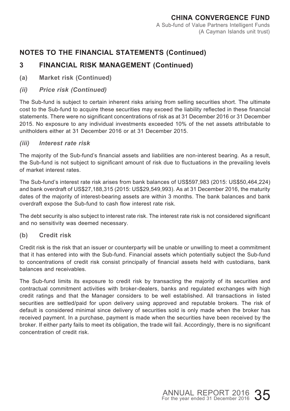# **3 FINANCIAL RISK MANAGEMENT (Continued)**

- **(a) Market risk (Continued)**
- *(ii) Price risk (Continued)*

The Sub-fund is subject to certain inherent risks arising from selling securities short. The ultimate cost to the Sub-fund to acquire these securities may exceed the liability reflected in these financial statements. There were no significant concentrations of risk as at 31 December 2016 or 31 December 2015. No exposure to any individual investments exceeded 10% of the net assets attributable to unitholders either at 31 December 2016 or at 31 December 2015.

#### *(iii) Interest rate risk*

The majority of the Sub-fund's financial assets and liabilities are non-interest bearing. As a result, the Sub-fund is not subject to significant amount of risk due to fluctuations in the prevailing levels of market interest rates.

The Sub-fund's interest rate risk arises from bank balances of US\$597,983 (2015: US\$50,464,224) and bank overdraft of US\$27,188,315 (2015: US\$29,549,993). As at 31 December 2016, the maturity dates of the majority of interest-bearing assets are within 3 months. The bank balances and bank overdraft expose the Sub-fund to cash flow interest rate risk.

The debt security is also subject to interest rate risk. The interest rate risk is not considered significant and no sensitivity was deemed necessary.

#### **(b) Credit risk**

Credit risk is the risk that an issuer or counterparty will be unable or unwilling to meet a commitment that it has entered into with the Sub-fund. Financial assets which potentially subject the Sub-fund to concentrations of credit risk consist principally of financial assets held with custodians, bank balances and receivables.

The Sub-fund limits its exposure to credit risk by transacting the majority of its securities and contractual commitment activities with broker-dealers, banks and regulated exchanges with high credit ratings and that the Manager considers to be well established. All transactions in listed securities are settled/paid for upon delivery using approved and reputable brokers. The risk of default is considered minimal since delivery of securities sold is only made when the broker has received payment. In a purchase, payment is made when the securities have been received by the broker. If either party fails to meet its obligation, the trade will fail. Accordingly, there is no significant concentration of credit risk.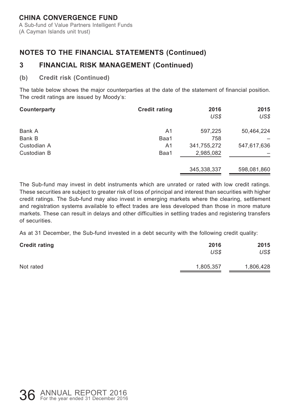A Sub-fund of Value Partners Intelligent Funds (A Cayman Islands unit trust)

# **NOTES TO THE FINANCIAL STATEMENTS (Continued)**

# **3 FINANCIAL RISK MANAGEMENT (Continued)**

#### **(b) Credit risk (Continued)**

The table below shows the major counterparties at the date of the statement of financial position. The credit ratings are issued by Moody's:

| Counterparty | <b>Credit rating</b> | 2016          | 2015        |
|--------------|----------------------|---------------|-------------|
|              |                      | US\$          | US\$        |
| Bank A       | A1                   | 597.225       | 50,464,224  |
| Bank B       | Baa1                 | 758           |             |
| Custodian A  | A1                   | 341,755,272   | 547,617,636 |
| Custodian B  | Baa1                 | 2,985,082     |             |
|              |                      | 345, 338, 337 | 598,081,860 |

The Sub-fund may invest in debt instruments which are unrated or rated with low credit ratings. These securities are subject to greater risk of loss of principal and interest than securities with higher credit ratings. The Sub-fund may also invest in emerging markets where the clearing, settlement and registration systems available to effect trades are less developed than those in more mature markets. These can result in delays and other difficulties in settling trades and registering transfers of securities.

As at 31 December, the Sub-fund invested in a debt security with the following credit quality:

| <b>Credit rating</b> | 2016      | 2015      |
|----------------------|-----------|-----------|
|                      | US\$      | US\$      |
| Not rated            | 1,805,357 | 1,806,428 |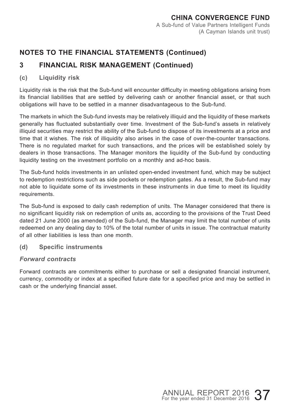# **3 FINANCIAL RISK MANAGEMENT (Continued)**

#### **(c) Liquidity risk**

Liquidity risk is the risk that the Sub-fund will encounter difficulty in meeting obligations arising from its financial liabilities that are settled by delivering cash or another financial asset, or that such obligations will have to be settled in a manner disadvantageous to the Sub-fund.

The markets in which the Sub-fund invests may be relatively illiquid and the liquidity of these markets generally has fluctuated substantially over time. Investment of the Sub-fund's assets in relatively illiquid securities may restrict the ability of the Sub-fund to dispose of its investments at a price and time that it wishes. The risk of illiquidity also arises in the case of over-the-counter transactions. There is no regulated market for such transactions, and the prices will be established solely by dealers in those transactions. The Manager monitors the liquidity of the Sub-fund by conducting liquidity testing on the investment portfolio on a monthly and ad-hoc basis.

The Sub-fund holds investments in an unlisted open-ended investment fund, which may be subject to redemption restrictions such as side pockets or redemption gates. As a result, the Sub-fund may not able to liquidate some of its investments in these instruments in due time to meet its liquidity requirements.

The Sub-fund is exposed to daily cash redemption of units. The Manager considered that there is no significant liquidity risk on redemption of units as, according to the provisions of the Trust Deed dated 21 June 2000 (as amended) of the Sub-fund, the Manager may limit the total number of units redeemed on any dealing day to 10% of the total number of units in issue. The contractual maturity of all other liabilities is less than one month.

**(d) Specific instruments**

#### *Forward contracts*

Forward contracts are commitments either to purchase or sell a designated financial instrument, currency, commodity or index at a specified future date for a specified price and may be settled in cash or the underlying financial asset.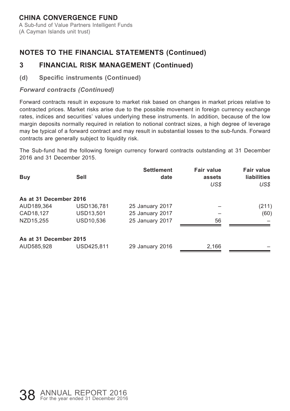A Sub-fund of Value Partners Intelligent Funds (A Cayman Islands unit trust)

# **NOTES TO THE FINANCIAL STATEMENTS (Continued)**

### **3 FINANCIAL RISK MANAGEMENT (Continued)**

#### **(d) Specific instruments (Continued)**

#### *Forward contracts (Continued)*

Forward contracts result in exposure to market risk based on changes in market prices relative to contracted prices. Market risks arise due to the possible movement in foreign currency exchange rates, indices and securities' values underlying these instruments. In addition, because of the low margin deposits normally required in relation to notional contract sizes, a high degree of leverage may be typical of a forward contract and may result in substantial losses to the sub-funds. Forward contracts are generally subject to liquidity risk.

The Sub-fund had the following foreign currency forward contracts outstanding at 31 December 2016 and 31 December 2015.

| Buy                    | Sell       | <b>Settlement</b><br>date | <b>Fair value</b><br>assets<br>US\$ | Fair value<br><b>liabilities</b><br>US\$ |
|------------------------|------------|---------------------------|-------------------------------------|------------------------------------------|
| As at 31 December 2016 |            |                           |                                     |                                          |
| AUD189,364             | USD136,781 | 25 January 2017           |                                     | (211)                                    |
| CAD18,127              | USD13,501  | 25 January 2017           |                                     | (60)                                     |
| NZD15.255              | USD10,536  | 25 January 2017           | 56                                  |                                          |
| As at 31 December 2015 |            |                           |                                     |                                          |
| AUD585,928             | USD425.811 | 29 January 2016           | 2,166                               |                                          |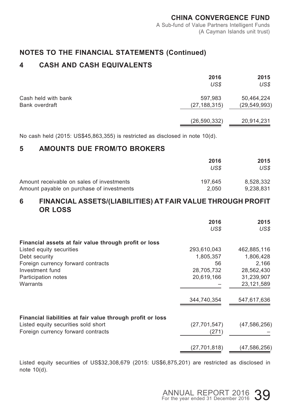# **4 CASH AND CASH EQUIVALENTS**

|                     | 2016           | 2015           |
|---------------------|----------------|----------------|
|                     | US\$           | US\$           |
| Cash held with bank | 597.983        | 50,464,224     |
| Bank overdraft      | (27, 188, 315) | (29, 549, 993) |
|                     | (26, 590, 332) | 20,914,231     |

No cash held (2015: US\$45,863,355) is restricted as disclosed in note 10(d).

#### **5 AMOUNTS DUE FROM/TO BROKERS**

|                                           | 2016    | 2015      |
|-------------------------------------------|---------|-----------|
|                                           | US\$    | US\$      |
| Amount receivable on sales of investments | 197.645 | 8.528.332 |
| Amount payable on purchase of investments | 2.050   | 9.238.831 |

#### **6 FINANCIAL ASSETS/(LIABILITIES) AT FAIR VALUE THROUGH PROFIT OR LOSS**

|                                                                           | 2016<br>US\$            | 2015<br>US\$ |
|---------------------------------------------------------------------------|-------------------------|--------------|
| Financial assets at fair value through profit or loss                     |                         |              |
| Listed equity securities                                                  | 293,610,043             | 462,885,116  |
| Debt security                                                             | 1,805,357               | 1,806,428    |
| Foreign currency forward contracts                                        | 56                      | 2,166        |
| Investment fund                                                           | 28.705.732              | 28,562,430   |
| Participation notes                                                       | 20,619,166              | 31,239,907   |
| Warrants                                                                  |                         | 23,121,589   |
|                                                                           | 344,740,354             | 547,617,636  |
| Financial liabilities at fair value through profit or loss                |                         |              |
| Listed equity securities sold short<br>Foreign currency forward contracts | (27, 701, 547)<br>(271) | (47,586,256) |
|                                                                           |                         |              |
|                                                                           | (27, 701, 818)          | (47,586,256) |

Listed equity securities of US\$32,308,679 (2015: US\$6,875,201) are restricted as disclosed in note 10(d).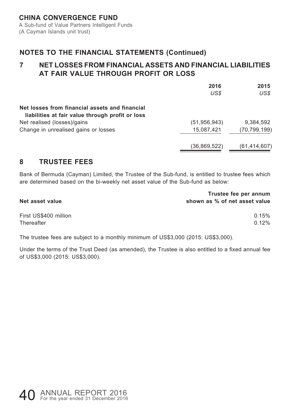### **7 NET LOSSES FROM FINANCIAL ASSETS AND FINANCIAL LIABILITIES AT FAIR VALUE THROUGH PROFIT OR LOSS**

|                                                                                                    | 2016<br>US\$   | 2015<br>US\$   |
|----------------------------------------------------------------------------------------------------|----------------|----------------|
| Net losses from financial assets and financial<br>liabilities at fair value through profit or loss |                |                |
| Net realised (losses)/gains                                                                        | (51, 956, 943) | 9.384.592      |
| Change in unrealised gains or losses                                                               | 15,087,421     | (70, 799, 199) |
|                                                                                                    | (36,869,522)   | (61, 414, 607) |

### **8 TRUSTEE FEES**

Bank of Bermuda (Cayman) Limited, the Trustee of the Sub-fund, is entitled to trustee fees which are determined based on the bi-weekly net asset value of the Sub-fund as below:

| Net asset value       | Trustee fee per annum<br>shown as % of net asset value |
|-----------------------|--------------------------------------------------------|
| First US\$400 million | 0.15%                                                  |
| Thereafter            | 0.12%                                                  |

The trustee fees are subject to a monthly minimum of US\$3,000 (2015: US\$3,000).

Under the terms of the Trust Deed (as amended), the Trustee is also entitled to a fixed annual fee of US\$3,000 (2015: US\$3,000).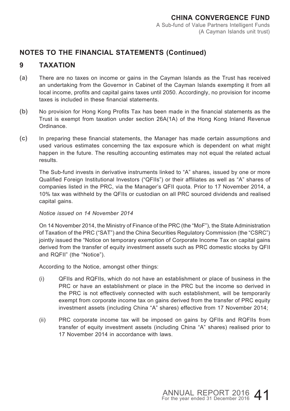# **9 TAXATION**

- **(a)** There are no taxes on income or gains in the Cayman Islands as the Trust has received an undertaking from the Governor in Cabinet of the Cayman Islands exempting it from all local income, profits and capital gains taxes until 2050. Accordingly, no provision for income taxes is included in these financial statements.
- **(b)** No provision for Hong Kong Profits Tax has been made in the financial statements as the Trust is exempt from taxation under section 26A(1A) of the Hong Kong Inland Revenue Ordinance.
- **(c)** In preparing these financial statements, the Manager has made certain assumptions and used various estimates concerning the tax exposure which is dependent on what might happen in the future. The resulting accounting estimates may not equal the related actual results.

The Sub-fund invests in derivative instruments linked to "A" shares, issued by one or more Qualified Foreign Institutional Investors ("QFIIs") or their affiliates as well as "A" shares of companies listed in the PRC, via the Manager's QFII quota. Prior to 17 November 2014, a 10% tax was withheld by the QFIIs or custodian on all PRC sourced dividends and realised capital gains.

#### *Notice issued on 14 November 2014*

On 14 November 2014, the Ministry of Finance of the PRC (the "MoF"), the State Administration of Taxation of the PRC ("SAT") and the China Securities Regulatory Commission (the "CSRC") jointly issued the "Notice on temporary exemption of Corporate Income Tax on capital gains derived from the transfer of equity investment assets such as PRC domestic stocks by QFII and RQFII" (the "Notice").

According to the Notice, amongst other things:

- (i) QFIIs and RQFIIs, which do not have an establishment or place of business in the PRC or have an establishment or place in the PRC but the income so derived in the PRC is not effectively connected with such establishment, will be temporarily exempt from corporate income tax on gains derived from the transfer of PRC equity investment assets (including China "A" shares) effective from 17 November 2014;
- (ii) PRC corporate income tax will be imposed on gains by QFIIs and RQFIIs from transfer of equity investment assets (including China "A" shares) realised prior to 17 November 2014 in accordance with laws.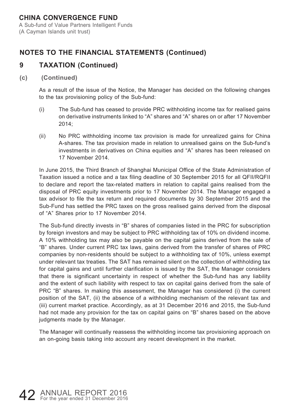A Sub-fund of Value Partners Intelligent Funds (A Cayman Islands unit trust)

# **NOTES TO THE FINANCIAL STATEMENTS (Continued)**

# **9 TAXATION (Continued)**

#### **(c) (Continued)**

As a result of the issue of the Notice, the Manager has decided on the following changes to the tax provisioning policy of the Sub-fund:

- (i) The Sub-fund has ceased to provide PRC withholding income tax for realised gains on derivative instruments linked to "A" shares and "A" shares on or after 17 November  $2014$
- (ii) No PRC withholding income tax provision is made for unrealized gains for China A-shares. The tax provision made in relation to unrealised gains on the Sub-fund's investments in derivatives on China equities and "A" shares has been released on 17 November 2014.

In June 2015, the Third Branch of Shanghai Municipal Office of the State Administration of Taxation issued a notice and a tax filing deadline of 30 September 2015 for all QFII/RQFII to declare and report the tax-related matters in relation to capital gains realised from the disposal of PRC equity investments prior to 17 November 2014. The Manager engaged a tax advisor to file the tax return and required documents by 30 September 2015 and the Sub-Fund has settled the PRC taxes on the gross realised gains derived from the disposal of "A" Shares prior to 17 November 2014.

The Sub-fund directly invests in "B" shares of companies listed in the PRC for subscription by foreign investors and may be subject to PRC withholding tax of 10% on dividend income. A 10% withholding tax may also be payable on the capital gains derived from the sale of "B" shares. Under current PRC tax laws, gains derived from the transfer of shares of PRC companies by non-residents should be subject to a withholding tax of 10%, unless exempt under relevant tax treaties. The SAT has remained silent on the collection of withholding tax for capital gains and until further clarification is issued by the SAT, the Manager considers that there is significant uncertainty in respect of whether the Sub-fund has any liability and the extent of such liability with respect to tax on capital gains derived from the sale of PRC "B" shares. In making this assessment, the Manager has considered (i) the current position of the SAT, (ii) the absence of a withholding mechanism of the relevant tax and (iii) current market practice. Accordingly, as at 31 December 2016 and 2015, the Sub-fund had not made any provision for the tax on capital gains on "B" shares based on the above judgments made by the Manager.

The Manager will continually reassess the withholding income tax provisioning approach on an on-going basis taking into account any recent development in the market.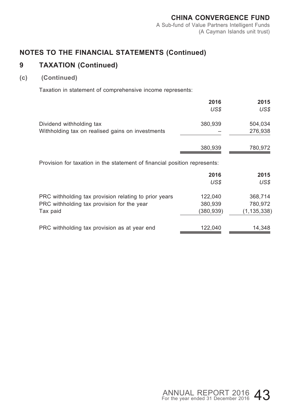# **9 TAXATION (Continued)**

### **(c) (Continued)**

Taxation in statement of comprehensive income represents:

|                                                                           | 2016<br>US\$ | 2015<br>US\$  |
|---------------------------------------------------------------------------|--------------|---------------|
| Dividend withholding tax                                                  | 380,939      | 504,034       |
| Withholding tax on realised gains on investments                          |              | 276,938       |
|                                                                           | 380.939      | 780,972       |
| Provision for taxation in the statement of financial position represents: |              |               |
|                                                                           | 2016         | 2015          |
|                                                                           | US\$         | US\$          |
| PRC withholding tax provision relating to prior years                     | 122,040      | 368,714       |
| PRC withholding tax provision for the year                                | 380,939      | 780,972       |
| Tax paid                                                                  | (380,939)    | (1, 135, 338) |
| PRC withholding tax provision as at year end                              | 122,040      | 14,348        |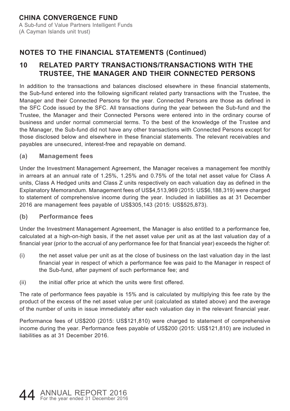# **10 RELATED PARTY TRANSACTIONS/TRANSACTIONS WITH THE TRUSTEE, THE MANAGER AND THEIR CONNECTED PERSONS**

In addition to the transactions and balances disclosed elsewhere in these financial statements, the Sub-fund entered into the following significant related party transactions with the Trustee, the Manager and their Connected Persons for the year. Connected Persons are those as defined in the SFC Code issued by the SFC. All transactions during the year between the Sub-fund and the Trustee, the Manager and their Connected Persons were entered into in the ordinary course of business and under normal commercial terms. To the best of the knowledge of the Trustee and the Manager, the Sub-fund did not have any other transactions with Connected Persons except for those disclosed below and elsewhere in these financial statements. The relevant receivables and payables are unsecured, interest-free and repayable on demand.

#### **(a) Management fees**

Under the Investment Management Agreement, the Manager receives a management fee monthly in arrears at an annual rate of 1.25%, 1.25% and 0.75% of the total net asset value for Class A units, Class A Hedged units and Class Z units respectively on each valuation day as defined in the Explanatory Memorandum. Management fees of US\$4,513,969 (2015: US\$6,188,319) were charged to statement of comprehensive income during the year. Included in liabilities as at 31 December 2016 are management fees payable of US\$305,143 (2015: US\$525,873).

**(b) Performance fees**

Under the Investment Management Agreement, the Manager is also entitled to a performance fee, calculated at a high-on-high basis, if the net asset value per unit as at the last valuation day of a financial year (prior to the accrual of any performance fee for that financial year) exceeds the higher of:

- (i) the net asset value per unit as at the close of business on the last valuation day in the last financial year in respect of which a performance fee was paid to the Manager in respect of the Sub-fund, after payment of such performance fee; and
- (ii) the initial offer price at which the units were first offered.

The rate of performance fees payable is 15% and is calculated by multiplying this fee rate by the product of the excess of the net asset value per unit (calculated as stated above) and the average of the number of units in issue immediately after each valuation day in the relevant financial year.

Performance fees of US\$200 (2015: US\$121,810) were charged to statement of comprehensive income during the year. Performance fees payable of US\$200 (2015: US\$121,810) are included in liabilities as at 31 December 2016.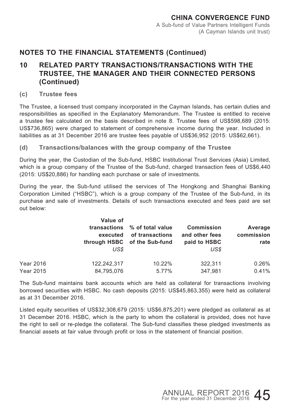### **10 RELATED PARTY TRANSACTIONS/TRANSACTIONS WITH THE TRUSTEE, THE MANAGER AND THEIR CONNECTED PERSONS (Continued)**

**(c) Trustee fees**

The Trustee, a licensed trust company incorporated in the Cayman Islands, has certain duties and responsibilities as specified in the Explanatory Memorandum. The Trustee is entitled to receive a trustee fee calculated on the basis described in note 8. Trustee fees of US\$598,689 (2015: US\$736,865) were charged to statement of comprehensive income during the year. Included in liabilities as at 31 December 2016 are trustee fees payable of US\$36,952 (2015: US\$62,661).

**(d) Transactions/balances with the group company of the Trustee**

During the year, the Custodian of the Sub-fund, HSBC Institutional Trust Services (Asia) Limited, which is a group company of the Trustee of the Sub-fund, charged transaction fees of US\$6,440 (2015: US\$20,886) for handling each purchase or sale of investments.

During the year, the Sub-fund utilised the services of The Hongkong and Shanghai Banking Corporation Limited ("HSBC"), which is a group company of the Trustee of the Sub-fund, in its purchase and sale of investments. Details of such transactions executed and fees paid are set out below:

|                  | Value of<br>transactions<br>executed<br>US\$ | % of total value<br>of transactions<br>through HSBC of the Sub-fund | <b>Commission</b><br>and other fees<br>paid to HSBC<br>US\$ | Average<br>commission<br>rate |
|------------------|----------------------------------------------|---------------------------------------------------------------------|-------------------------------------------------------------|-------------------------------|
| <b>Year 2016</b> | 122.242.317                                  | 10.22%                                                              | 322.311                                                     | 0.26%                         |
| <b>Year 2015</b> | 84,795,076                                   | 5.77%                                                               | 347.981                                                     | 0.41%                         |

The Sub-fund maintains bank accounts which are held as collateral for transactions involving borrowed securities with HSBC. No cash deposits (2015: US\$45,863,355) were held as collateral as at 31 December 2016.

Listed equity securities of US\$32,308,679 (2015: US\$6,875,201) were pledged as collateral as at 31 December 2016. HSBC, which is the party to whom the collateral is provided, does not have the right to sell or re-pledge the collateral. The Sub-fund classifies these pledged investments as financial assets at fair value through profit or loss in the statement of financial position.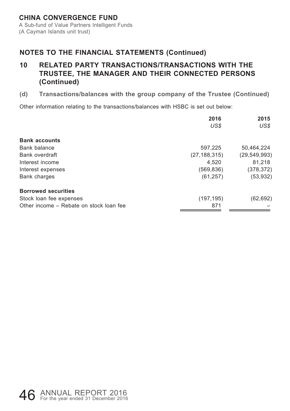### **10 RELATED PARTY TRANSACTIONS/TRANSACTIONS WITH THE TRUSTEE, THE MANAGER AND THEIR CONNECTED PERSONS (Continued)**

**(d) Transactions/balances with the group company of the Trustee (Continued)**

Other information relating to the transactions/balances with HSBC is set out below:

|                                         | 2016           | 2015           |
|-----------------------------------------|----------------|----------------|
|                                         | US\$           | US\$           |
| <b>Bank accounts</b>                    |                |                |
| Bank balance                            | 597,225        | 50,464,224     |
| Bank overdraft                          | (27, 188, 315) | (29, 549, 993) |
| Interest income                         | 4.520          | 81.218         |
| Interest expenses                       | (569, 836)     | (378, 372)     |
| Bank charges                            | (61, 257)      | (53,932)       |
| <b>Borrowed securities</b>              |                |                |
| Stock loan fee expenses                 | (197, 195)     | (62,692)       |
| Other income – Rebate on stock loan fee | 871            |                |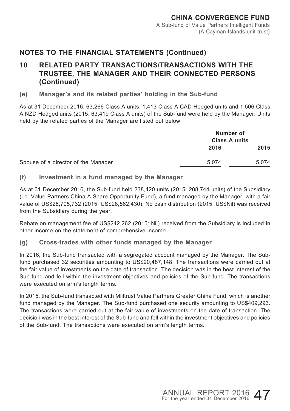### **10 RELATED PARTY TRANSACTIONS/TRANSACTIONS WITH THE TRUSTEE, THE MANAGER AND THEIR CONNECTED PERSONS (Continued)**

**(e) Manager's and its related parties' holding in the Sub-fund**

As at 31 December 2016, 63,266 Class A units, 1,413 Class A CAD Hedged units and 1,506 Class A NZD Hedged units (2015: 63,419 Class A units) of the Sub-fund were held by the Manager. Units held by the related parties of the Manager are listed out below:

|                                     | Number of<br><b>Class A units</b> |       |
|-------------------------------------|-----------------------------------|-------|
|                                     | 2016                              | 2015  |
| Spouse of a director of the Manager | 5.074                             | 5.074 |

**(f) Investment in a fund managed by the Manager**

As at 31 December 2016, the Sub-fund held 238,420 units (2015: 208,744 units) of the Subsidiary (i.e. Value Partners China A Share Opportunity Fund), a fund managed by the Manager, with a fair value of US\$28,705,732 (2015: US\$28,562,430). No cash distribution (2015: US\$Nil) was received from the Subsidiary during the year.

Rebate on management fee of US\$242,262 (2015: Nil) received from the Subsidiary is included in other income on the statement of comprehensive income.

**(g) Cross-trades with other funds managed by the Manager**

In 2016, the Sub-fund transacted with a segregated account managed by the Manager. The Subfund purchased 32 securities amounting to US\$20,487,148. The transactions were carried out at the fair value of investments on the date of transaction. The decision was in the best interest of the Sub-fund and fell within the investment objectives and policies of the Sub-fund. The transactions were executed on arm's length terms.

In 2015, the Sub-fund transacted with Milltrust Value Partners Greater China Fund, which is another fund managed by the Manager. The Sub-fund purchased one security amounting to US\$409,293. The transactions were carried out at the fair value of investments on the date of transaction. The decision was in the best interest of the Sub-fund and fell within the investment objectives and policies of the Sub-fund. The transactions were executed on arm's length terms.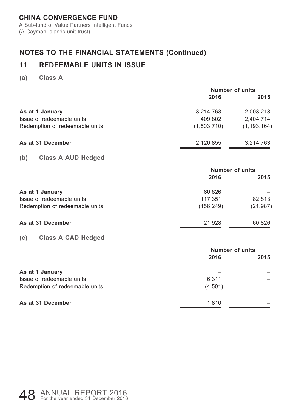A Sub-fund of Value Partners Intelligent Funds (A Cayman Islands unit trust)

# **NOTES TO THE FINANCIAL STATEMENTS (Continued)**

# **11 REDEEMABLE UNITS IN ISSUE**

**(a) Class A**

|                                  | <b>Number of units</b> |                        |  |
|----------------------------------|------------------------|------------------------|--|
|                                  | 2016                   | 2015                   |  |
| As at 1 January                  | 3,214,763              | 2,003,213              |  |
| Issue of redeemable units        | 409.802                | 2,404,714              |  |
| Redemption of redeemable units   | (1,503,710)            | (1, 193, 164)          |  |
| As at 31 December                | 2,120,855              | 3,214,763              |  |
| (b)<br><b>Class A AUD Hedged</b> |                        |                        |  |
|                                  |                        | <b>Number of units</b> |  |
|                                  | 2016                   | 2015                   |  |
| As at 1 January                  | 60,826                 |                        |  |
| Issue of redeemable units        | 117,351                | 82,813                 |  |
| Redemption of redeemable units   | (156, 249)             | (21, 987)              |  |
| As at 31 December                | 21,928                 | 60,826                 |  |
| (c)<br><b>Class A CAD Hedged</b> |                        |                        |  |
|                                  |                        | <b>Number of units</b> |  |
|                                  | 2016                   | 2015                   |  |
| As at 1 January                  |                        |                        |  |
| Issue of redeemable units        | 6,311                  |                        |  |
| Redemption of redeemable units   | (4,501)                |                        |  |
| As at 31 December                | 1,810                  |                        |  |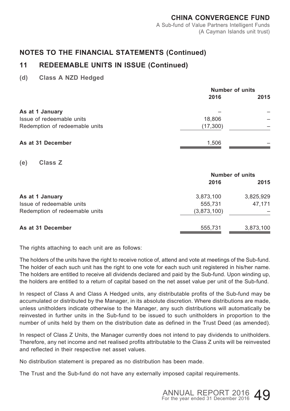#### **CHINA CONVERGENCE FUND** A Sub-fund of Value Partners Intelligent Funds (A Cayman Islands unit trust)

### **NOTES TO THE FINANCIAL STATEMENTS (Continued)**

# **11 REDEEMABLE UNITS IN ISSUE (Continued)**

**(d) Class A NZD Hedged**

|                                | <b>Number of units</b> |      |
|--------------------------------|------------------------|------|
|                                | 2016                   | 2015 |
| As at 1 January                |                        |      |
| Issue of redeemable units      | 18.806                 |      |
| Redemption of redeemable units | (17,300)               |      |
| As at 31 December              | 1.506                  |      |

**(e) Class Z**

|                                | <b>Number of units</b> |           |  |
|--------------------------------|------------------------|-----------|--|
|                                | 2016                   | 2015      |  |
| As at 1 January                | 3,873,100              | 3,825,929 |  |
| Issue of redeemable units      | 555.731                | 47.171    |  |
| Redemption of redeemable units | (3,873,100)            |           |  |
| As at 31 December              | 555.731                | 3,873,100 |  |

The rights attaching to each unit are as follows:

The holders of the units have the right to receive notice of, attend and vote at meetings of the Sub-fund. The holder of each such unit has the right to one vote for each such unit registered in his/her name. The holders are entitled to receive all dividends declared and paid by the Sub-fund. Upon winding up, the holders are entitled to a return of capital based on the net asset value per unit of the Sub-fund.

In respect of Class A and Class A Hedged units, any distributable profits of the Sub-fund may be accumulated or distributed by the Manager, in its absolute discretion. Where distributions are made, unless unitholders indicate otherwise to the Manager, any such distributions will automatically be reinvested in further units in the Sub-fund to be issued to such unitholders in proportion to the number of units held by them on the distribution date as defined in the Trust Deed (as amended).

In respect of Class Z Units, the Manager currently does not intend to pay dividends to unitholders. Therefore, any net income and net realised profits attributable to the Class Z units will be reinvested and reflected in their respective net asset values.

No distribution statement is prepared as no distribution has been made.

The Trust and the Sub-fund do not have any externally imposed capital requirements.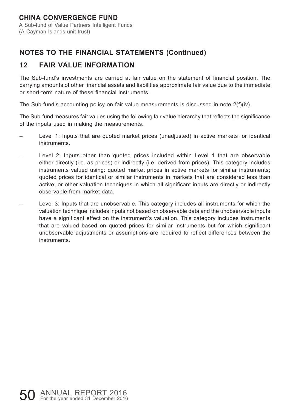A Sub-fund of Value Partners Intelligent Funds (A Cayman Islands unit trust)

# **NOTES TO THE FINANCIAL STATEMENTS (Continued)**

# **12 FAIR VALUE INFORMATION**

The Sub-fund's investments are carried at fair value on the statement of financial position. The carrying amounts of other financial assets and liabilities approximate fair value due to the immediate or short-term nature of these financial instruments.

The Sub-fund's accounting policy on fair value measurements is discussed in note  $2(f)(iv)$ .

The Sub-fund measures fair values using the following fair value hierarchy that reflects the significance of the inputs used in making the measurements.

- Level 1: Inputs that are quoted market prices (unadjusted) in active markets for identical instruments.
- Level 2: Inputs other than quoted prices included within Level 1 that are observable either directly (i.e. as prices) or indirectly (i.e. derived from prices). This category includes instruments valued using: quoted market prices in active markets for similar instruments; quoted prices for identical or similar instruments in markets that are considered less than active; or other valuation techniques in which all significant inputs are directly or indirectly observable from market data.
- Level 3: Inputs that are unobservable. This category includes all instruments for which the valuation technique includes inputs not based on observable data and the unobservable inputs have a significant effect on the instrument's valuation. This category includes instruments that are valued based on quoted prices for similar instruments but for which significant unobservable adjustments or assumptions are required to reflect differences between the instruments.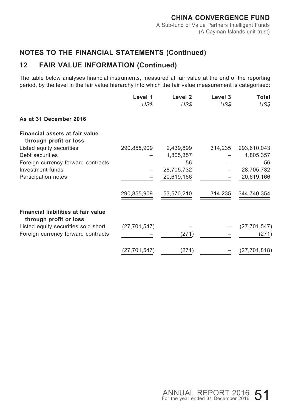# **12 FAIR VALUE INFORMATION (Continued)**

The table below analyses financial instruments, measured at fair value at the end of the reporting period, by the level in the fair value hierarchy into which the fair value measurement is categorised:

|                                                               | Level 1<br>US\$ | Level <sub>2</sub><br>US\$ | Level 3<br>US\$ | Total<br>US\$  |
|---------------------------------------------------------------|-----------------|----------------------------|-----------------|----------------|
| As at 31 December 2016                                        |                 |                            |                 |                |
| Financial assets at fair value<br>through profit or loss      |                 |                            |                 |                |
| Listed equity securities                                      | 290,855,909     | 2,439,899                  | 314,235         | 293,610,043    |
| Debt securities                                               |                 | 1,805,357                  |                 | 1,805,357      |
| Foreign currency forward contracts                            |                 | 56                         |                 | 56             |
| Investment funds                                              |                 | 28,705,732                 |                 | 28,705,732     |
| Participation notes                                           |                 | 20,619,166                 |                 | 20,619,166     |
|                                                               | 290,855,909     | 53,570,210                 | 314,235         | 344,740,354    |
| Financial liabilities at fair value<br>through profit or loss |                 |                            |                 |                |
| Listed equity securities sold short                           | (27, 701, 547)  |                            |                 | (27, 701, 547) |
| Foreign currency forward contracts                            |                 | (271)                      |                 | (271)          |
|                                                               | (27,701,547)    | (271)                      |                 | (27,701,818)   |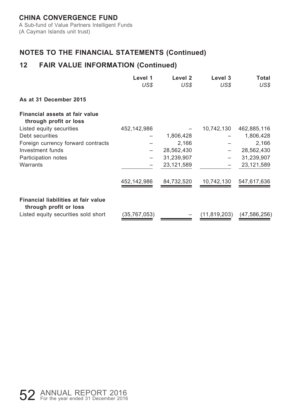A Sub-fund of Value Partners Intelligent Funds (A Cayman Islands unit trust)

# **NOTES TO THE FINANCIAL STATEMENTS (Continued)**

# **12 FAIR VALUE INFORMATION (Continued)**

|                                                               | Level 1<br>US\$ | Level 2<br>US\$ | Level 3<br>US\$ | Total<br>US\$ |
|---------------------------------------------------------------|-----------------|-----------------|-----------------|---------------|
| As at 31 December 2015                                        |                 |                 |                 |               |
| Financial assets at fair value<br>through profit or loss      |                 |                 |                 |               |
| Listed equity securities                                      | 452,142,986     |                 | 10,742,130      | 462,885,116   |
| Debt securities                                               |                 | 1,806,428       |                 | 1,806,428     |
| Foreign currency forward contracts                            |                 | 2,166           |                 | 2,166         |
| Investment funds                                              |                 | 28,562,430      |                 | 28,562,430    |
| Participation notes                                           |                 | 31,239,907      |                 | 31,239,907    |
| Warrants                                                      |                 | 23,121,589      |                 | 23,121,589    |
|                                                               | 452,142,986     | 84,732,520      | 10,742,130      | 547,617,636   |
| Financial liabilities at fair value<br>through profit or loss |                 |                 |                 |               |
| Listed equity securities sold short                           | (35, 767, 053)  |                 | (11, 819, 203)  | (47,586,256)  |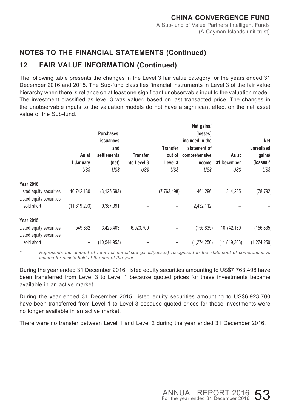# **12 FAIR VALUE INFORMATION (Continued)**

The following table presents the changes in the Level 3 fair value category for the years ended 31 December 2016 and 2015. The Sub-fund classifies financial instruments in Level 3 of the fair value hierarchy when there is reliance on at least one significant unobservable input to the valuation model. The investment classified as level 3 was valued based on last transacted price. The changes in the unobservable inputs to the valuation models do not have a significant effect on the net asset value of the Sub-fund.

| As at<br>1 January<br>US\$ | Purchases,<br>issuances<br>and<br>settlements<br>(net)<br>US\$ | Transfer<br>into Level 3<br>US\$ | <b>Transfer</b><br>out of<br>Level 3<br>US\$ | Net gains/<br>(losses)<br>included in the<br>statement of<br>comprehensive<br>income<br>US\$ | As at<br>31 December<br>US\$ | Net<br>unrealised<br>gains/<br>(losses)*<br>US\$ |
|----------------------------|----------------------------------------------------------------|----------------------------------|----------------------------------------------|----------------------------------------------------------------------------------------------|------------------------------|--------------------------------------------------|
|                            |                                                                |                                  |                                              |                                                                                              |                              |                                                  |
| 10,742,130                 | (3, 125, 693)                                                  | -                                | (7,763,498)                                  | 461.296                                                                                      | 314,235                      | (78, 792)                                        |
| (11, 819, 203)             | 9,387,091                                                      |                                  |                                              | 2,432,112                                                                                    |                              |                                                  |
|                            |                                                                |                                  |                                              |                                                                                              |                              |                                                  |
| 549,862                    | 3,425,403                                                      | 6,923,700                        |                                              |                                                                                              | 10,742,130                   | (156, 835)                                       |
| -                          | (10, 544, 953)                                                 |                                  |                                              |                                                                                              | (11, 819, 203)               | (1, 274, 250)                                    |
|                            |                                                                |                                  |                                              |                                                                                              |                              | (156, 835)<br>(1,274,250)                        |

*\* Represents the amount of total net unrealised gains/(losses) recognised in the statement of comprehensive income for assets held at the end of the year.*

During the year ended 31 December 2016, listed equity securities amounting to US\$7,763,498 have been transferred from Level 3 to Level 1 because quoted prices for these investments became available in an active market.

During the year ended 31 December 2015, listed equity securities amounting to US\$6,923,700 have been transferred from Level 1 to Level 3 because quoted prices for these investments were no longer available in an active market.

There were no transfer between Level 1 and Level 2 during the year ended 31 December 2016.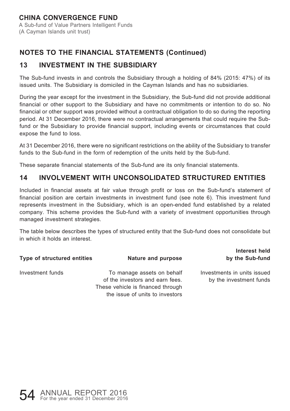#### **CHINA CONVERGENCE FUND** A Sub-fund of Value Partners Intelligent Funds (A Cayman Islands unit trust)

# **NOTES TO THE FINANCIAL STATEMENTS (Continued)**

# **13 INVESTMENT IN THE SUBSIDIARY**

The Sub-fund invests in and controls the Subsidiary through a holding of 84% (2015: 47%) of its issued units. The Subsidiary is domiciled in the Cayman Islands and has no subsidiaries.

During the year except for the investment in the Subsidiary, the Sub-fund did not provide additional financial or other support to the Subsidiary and have no commitments or intention to do so. No financial or other support was provided without a contractual obligation to do so during the reporting period. At 31 December 2016, there were no contractual arrangements that could require the Subfund or the Subsidiary to provide financial support, including events or circumstances that could expose the fund to loss.

At 31 December 2016, there were no significant restrictions on the ability of the Subsidiary to transfer funds to the Sub-fund in the form of redemption of the units held by the Sub-fund.

These separate financial statements of the Sub-fund are its only financial statements.

# **14 INVOLVEMENT WITH UNCONSOLIDATED STRUCTURED ENTITIES**

Included in financial assets at fair value through profit or loss on the Sub-fund's statement of financial position are certain investments in investment fund (see note 6). This investment fund represents investment in the Subsidiary, which is an open-ended fund established by a related company. This scheme provides the Sub-fund with a variety of investment opportunities through managed investment strategies.

The table below describes the types of structured entity that the Sub-fund does not consolidate but in which it holds an interest.

**Interest held** 

| Type of structured entities | Nature and purpose                                                                                                                    | by the Sub-fund                                        |
|-----------------------------|---------------------------------------------------------------------------------------------------------------------------------------|--------------------------------------------------------|
| Investment funds            | To manage assets on behalf<br>of the investors and earn fees.<br>These vehicle is financed through<br>the issue of units to investors | Investments in units issued<br>by the investment funds |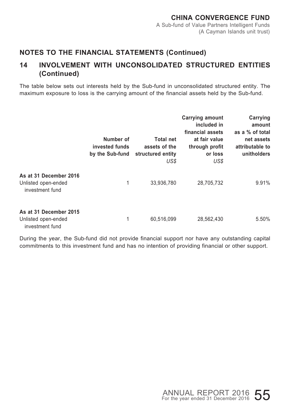### **14 INVOLVEMENT WITH UNCONSOLIDATED STRUCTURED ENTITIES (Continued)**

The table below sets out interests held by the Sub-fund in unconsolidated structured entity. The maximum exposure to loss is the carrying amount of the financial assets held by the Sub-fund.

|                                                                  | Number of<br>invested funds<br>by the Sub-fund | <b>Total net</b><br>assets of the<br>structured entity<br>US\$ | Carrying amount<br>included in<br>financial assets<br>at fair value<br>through profit<br>or loss<br>US\$ | Carrying<br>amount<br>as a % of total<br>net assets<br>attributable to<br>unitholders |
|------------------------------------------------------------------|------------------------------------------------|----------------------------------------------------------------|----------------------------------------------------------------------------------------------------------|---------------------------------------------------------------------------------------|
| As at 31 December 2016<br>Unlisted open-ended<br>investment fund | 1                                              | 33,936,780                                                     | 28,705,732                                                                                               | 9.91%                                                                                 |
| As at 31 December 2015<br>Unlisted open-ended<br>investment fund | 1                                              | 60,516,099                                                     | 28,562,430                                                                                               | 5.50%                                                                                 |

During the year, the Sub-fund did not provide financial support nor have any outstanding capital commitments to this investment fund and has no intention of providing financial or other support.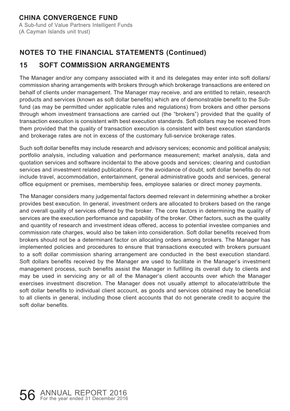A Sub-fund of Value Partners Intelligent Funds (A Cayman Islands unit trust)

# **NOTES TO THE FINANCIAL STATEMENTS (Continued)**

# **15 SOFT COMMISSION ARRANGEMENTS**

The Manager and/or any company associated with it and its delegates may enter into soft dollars/ commission sharing arrangements with brokers through which brokerage transactions are entered on behalf of clients under management. The Manager may receive, and are entitled to retain, research products and services (known as soft dollar benefits) which are of demonstrable benefit to the Subfund (as may be permitted under applicable rules and regulations) from brokers and other persons through whom investment transactions are carried out (the "brokers") provided that the quality of transaction execution is consistent with best execution standards. Soft dollars may be received from them provided that the quality of transaction execution is consistent with best execution standards and brokerage rates are not in excess of the customary full-service brokerage rates.

Such soft dollar benefits may include research and advisory services; economic and political analysis; portfolio analysis, including valuation and performance measurement; market analysis, data and quotation services and software incidental to the above goods and services; clearing and custodian services and investment related publications. For the avoidance of doubt, soft dollar benefits do not include travel, accommodation, entertainment, general administrative goods and services, general office equipment or premises, membership fees, employee salaries or direct money payments.

The Manager considers many judgemental factors deemed relevant in determining whether a broker provides best execution. In general, investment orders are allocated to brokers based on the range and overall quality of services offered by the broker. The core factors in determining the quality of services are the execution performance and capability of the broker. Other factors, such as the quality and quantity of research and investment ideas offered, access to potential investee companies and commission rate charges, would also be taken into consideration. Soft dollar benefits received from brokers should not be a determinant factor on allocating orders among brokers. The Manager has implemented policies and procedures to ensure that transactions executed with brokers pursuant to a soft dollar commission sharing arrangement are conducted in the best execution standard. Soft dollars benefits received by the Manager are used to facilitate in the Manager's investment management process, such benefits assist the Manager in fulfilling its overall duty to clients and may be used in servicing any or all of the Manager's client accounts over which the Manager exercises investment discretion. The Manager does not usually attempt to allocate/attribute the soft dollar benefits to individual client account, as goods and services obtained may be beneficial to all clients in general, including those client accounts that do not generate credit to acquire the soft dollar benefits.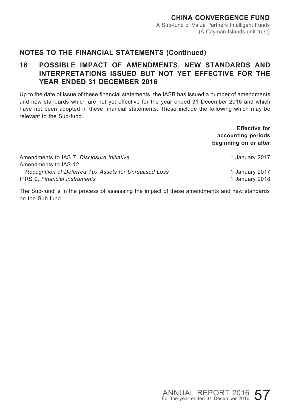### **16 POSSIBLE IMPACT OF AMENDMENTS, NEW STANDARDS AND INTERPRETATIONS ISSUED BUT NOT YET EFFECTIVE FOR THE YEAR ENDED 31 DECEMBER 2016**

Up to the date of issue of these financial statements, the IASB has issued a number of amendments and new standards which are not yet effective for the year ended 31 December 2016 and which have not been adopted in these financial statements. These include the following which may be relevant to the Sub-fund.

> **Effective for accounting periods beginning on or after**

| Amendments to IAS 7. Disclosure Initiative             | 1 January 2017 |
|--------------------------------------------------------|----------------|
| Amendments to IAS 12.                                  |                |
| Recognition of Deferred Tax Assets for Unrealised Loss | 1 January 2017 |
| <b>IFRS 9. Financial instruments</b>                   | 1 January 2018 |

The Sub-fund is in the process of assessing the impact of these amendments and new standards on the Sub fund.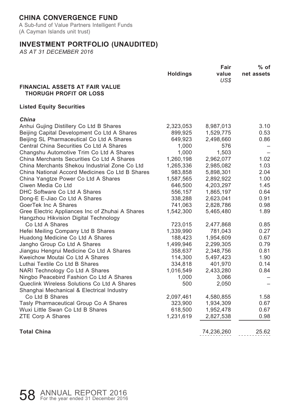A Sub-fund of Value Partners Intelligent Funds (A Cayman Islands unit trust)

### **INVESTMENT PORTFOLIO (UNAUDITED)**

|                                                                        | Fair           |            |
|------------------------------------------------------------------------|----------------|------------|
| <b>Holdings</b>                                                        | value<br>US\$  | net assets |
| <b>FINANCIAL ASSETS AT FAIR VALUE</b><br><b>THORUGH PROFIT OR LOSS</b> |                |            |
| <b>Listed Equity Securities</b>                                        |                |            |
| China                                                                  |                |            |
| Anhui Gujing Distillery Co Ltd B Shares<br>2,323,053                   | 8,987,013      | 3.10       |
| Beijing Capital Development Co Ltd A Shares<br>899,925                 | 1,529,775      | 0.53       |
| Beijing SL Pharmaceutical Co Ltd A Shares<br>649,923                   | 2,498,660      | 0.86       |
| Central China Securities Co Ltd A Shares                               | 1,000<br>576   |            |
| Changshu Automotive Trim Co Ltd A Shares                               | 1,000<br>1,503 |            |
| China Merchants Securities Co Ltd A Shares<br>1,260,198                | 2,962,077      | 1.02       |
| China Merchants Shekou Industrial Zone Co Ltd<br>1,265,336             | 2,985,082      | 1.03       |
| China National Accord Medicines Co Ltd B Shares<br>983,858             | 5,898,301      | 2.04       |
| China Yangtze Power Co Ltd A Shares<br>1,587,565                       | 2,892,922      | 1.00       |
| Ciwen Media Co Ltd<br>646,500                                          | 4,203,297      | 1.45       |
| DHC Software Co Ltd A Shares<br>556,157                                | 1,865,197      | 0.64       |
| Dong-E E-Jiao Co Ltd A Shares<br>338,288                               | 2,623,041      | 0.91       |
| GoerTek Inc A Shares<br>741,063                                        | 2,828,786      | 0.98       |
| Gree Electric Appliances Inc of Zhuhai A Shares<br>1,542,300           | 5,465,480      | 1.89       |
| Hangzhou Hikvision Digital Technology                                  |                |            |
| Co Ltd A Shares<br>723,015                                             | 2,477,868      | 0.85       |
| 1,339,990<br>Hefei Meiling Company Ltd B Shares                        | 781,043        | 0.27       |
| Huadong Medicine Co Ltd A Shares<br>188,423                            | 1,954,609      | 0.67       |
| Jangho Group Co Ltd A Shares<br>1,499,946                              | 2,299,305      | 0.79       |
| Jiangsu Hengrui Medicine Co Ltd A Shares<br>358,637                    | 2,348,756      | 0.81       |
| Kweichow Moutai Co Ltd A Shares<br>114,300                             | 5,497,423      | 1.90       |
| Luthai Textile Co Ltd B Shares<br>334,818                              | 401,970        | 0.14       |
| NARI Technology Co Ltd A Shares<br>1,016,549                           | 2,433,280      | 0.84       |
| Ningbo Peacebird Fashion Co Ltd A Shares                               | 1,000<br>3,066 |            |
| Queclink Wireless Solutions Co Ltd A Shares                            | 500<br>2,050   |            |
| Shanghai Mechanical & Electrical Industry                              |                |            |
| Co Ltd B Shares<br>2,097,461                                           | 4,580,855      | 1.58       |
| Tasly Pharmaceutical Group Co A Shares<br>323,900                      | 1,934,309      | 0.67       |
| Wuxi Little Swan Co Ltd B Shares<br>618,500                            | 1,952,478      | 0.67       |
| <b>ZTE Corp A Shares</b><br>1,231,619                                  | 2,827,538      | 0.98       |
| <b>Total China</b>                                                     | 74,236,260     | 25.62      |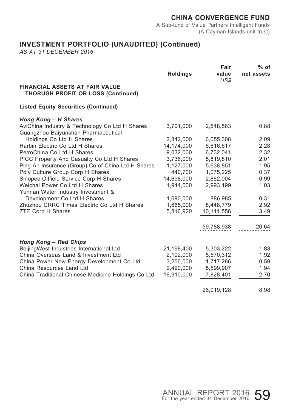A Sub-fund of Value Partners Intelligent Funds (A Cayman Islands unit trust)

# **INVESTMENT PORTFOLIO (UNAUDITED) (Continued)**

|                                                                                       | Fair            |               | % of       |  |
|---------------------------------------------------------------------------------------|-----------------|---------------|------------|--|
|                                                                                       | <b>Holdings</b> | value<br>US\$ | net assets |  |
| <b>FINANCIAL ASSETS AT FAIR VALUE</b><br><b>THORUGH PROFIT OR LOSS (Continued)</b>    |                 |               |            |  |
| <b>Listed Equity Securities (Continued)</b>                                           |                 |               |            |  |
| Hong Kong - H Shares                                                                  |                 |               |            |  |
| AviChina Industry & Technology Co Ltd H Shares<br>Guangzhou Baiyunshan Pharmaceutical | 3,701,000       | 2,548,563     | 0.88       |  |
| Holdings Co Ltd H Shares                                                              | 2,342,000       | 6,055,308     | 2.09       |  |
| Harbin Electric Co Ltd H Shares                                                       | 14,174,000      | 6,616,617     | 2.28       |  |
| PetroChina Co Ltd H Shares                                                            | 9,032,000       | 6,732,041     | 2.32       |  |
| PICC Property And Casualty Co Ltd H Shares                                            | 3,736,000       | 5,819,810     | 2.01       |  |
| Ping An Insurance (Group) Co of China Ltd H Shares                                    | 1,127,000       | 5,638,851     | 1.95       |  |
| Poly Culture Group Corp H Shares                                                      | 440,700         | 1,075,225     | 0.37       |  |
| Sinopec Oilfield Service Corp H Shares                                                | 14,698,000      | 2,862,004     | 0.99       |  |
| Weichai Power Co Ltd H Shares                                                         | 1.944.000       | 2,993,199     | 1.03       |  |
| Yunnan Water Industry Investment &                                                    |                 |               |            |  |
| Development Co Ltd H Shares                                                           | 1,690,000       | 886,985       | 0.31       |  |
| Zhuzhou CRRC Times Electric Co Ltd H Shares                                           | 1,665,000       | 8,448,779     | 2.92       |  |
| ZTE Corp H Shares                                                                     | 5,816,920       | 10,111,556    | 3.49       |  |
|                                                                                       |                 | 59,788,938    | 20.64      |  |
|                                                                                       |                 |               |            |  |
| Hong Kong - Red Chips                                                                 |                 |               |            |  |
| BeijingWest Industries International Ltd                                              | 21,198,400      | 5,303,222     | 1.83       |  |
| China Overseas Land & Investment Ltd                                                  | 2,102,000       | 5,570,312     | 1.92       |  |
| China Power New Energy Development Co Ltd                                             | 3,256,000       | 1,717,286     | 0.59       |  |
| China Resources Land Ltd                                                              | 2,490,000       | 5,599,907     | 1.94       |  |
| China Traditional Chinese Medicine Holdings Co Ltd                                    | 16,910,000      | 7,828,401     | 2.70       |  |
|                                                                                       |                 | 26,019,128    | 8.98       |  |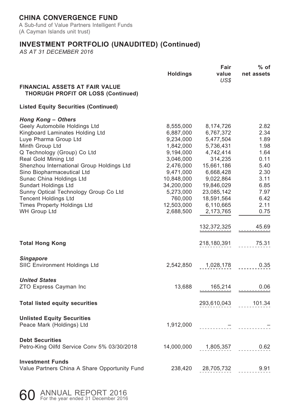A Sub-fund of Value Partners Intelligent Funds (A Cayman Islands unit trust)

# **INVESTMENT PORTFOLIO (UNAUDITED) (Continued)**

|                                                                                                                                                                                                                                                                                                                                                                                                                                                        |                                                                                                                                                                                     | Fair                                                                                                                                                                                 | % of                                                                                                         |
|--------------------------------------------------------------------------------------------------------------------------------------------------------------------------------------------------------------------------------------------------------------------------------------------------------------------------------------------------------------------------------------------------------------------------------------------------------|-------------------------------------------------------------------------------------------------------------------------------------------------------------------------------------|--------------------------------------------------------------------------------------------------------------------------------------------------------------------------------------|--------------------------------------------------------------------------------------------------------------|
|                                                                                                                                                                                                                                                                                                                                                                                                                                                        | <b>Holdings</b>                                                                                                                                                                     | value<br>US\$                                                                                                                                                                        | net assets                                                                                                   |
| <b>FINANCIAL ASSETS AT FAIR VALUE</b><br><b>THORUGH PROFIT OR LOSS (Continued)</b>                                                                                                                                                                                                                                                                                                                                                                     |                                                                                                                                                                                     |                                                                                                                                                                                      |                                                                                                              |
| <b>Listed Equity Securities (Continued)</b>                                                                                                                                                                                                                                                                                                                                                                                                            |                                                                                                                                                                                     |                                                                                                                                                                                      |                                                                                                              |
| Hong Kong - Others<br>Geely Automobile Holdings Ltd<br>Kingboard Laminates Holding Ltd<br>Luye Pharma Group Ltd<br>Minth Group Ltd<br>Q Technology (Group) Co Ltd<br>Real Gold Mining Ltd<br>Shenzhou International Group Holdings Ltd<br>Sino Biopharmaceutical Ltd<br>Sunac China Holdings Ltd<br>Sundart Holdings Ltd<br>Sunny Optical Technology Group Co Ltd<br><b>Tencent Holdings Ltd</b><br><b>Times Property Holdings Ltd</b><br>WH Group Ltd | 8,555,000<br>6,887,000<br>9,234,000<br>1,842,000<br>9,194,000<br>3,046,000<br>2,476,000<br>9,471,000<br>10,848,000<br>34,200,000<br>5,273,000<br>760,000<br>12,503,000<br>2,688,500 | 8,174,726<br>6,767,372<br>5,477,504<br>5,736,431<br>4,742,414<br>314,235<br>15,661,186<br>6,668,428<br>9,022,864<br>19,846,029<br>23,085,142<br>18,591,564<br>6,110,665<br>2,173,765 | 2.82<br>2.34<br>1.89<br>1.98<br>1.64<br>0.11<br>5.40<br>2.30<br>3.11<br>6.85<br>7.97<br>6.42<br>2.11<br>0.75 |
|                                                                                                                                                                                                                                                                                                                                                                                                                                                        |                                                                                                                                                                                     | 132,372,325                                                                                                                                                                          | 45.69                                                                                                        |
| <b>Total Hong Kong</b>                                                                                                                                                                                                                                                                                                                                                                                                                                 |                                                                                                                                                                                     | 218,180,391                                                                                                                                                                          | 75.31                                                                                                        |
| <b>Singapore</b><br>SIIC Environment Holdings Ltd                                                                                                                                                                                                                                                                                                                                                                                                      | 2,542,850                                                                                                                                                                           | 1,028,178                                                                                                                                                                            | 0.35                                                                                                         |
| <b>United States</b><br>ZTO Express Cayman Inc                                                                                                                                                                                                                                                                                                                                                                                                         | 13,688                                                                                                                                                                              | 165,214                                                                                                                                                                              | 0.06                                                                                                         |
| <b>Total listed equity securities</b>                                                                                                                                                                                                                                                                                                                                                                                                                  |                                                                                                                                                                                     | 293,610,043                                                                                                                                                                          | 101.34                                                                                                       |
| <b>Unlisted Equity Securities</b><br>Peace Mark (Holdings) Ltd                                                                                                                                                                                                                                                                                                                                                                                         | 1,912,000                                                                                                                                                                           |                                                                                                                                                                                      |                                                                                                              |
| <b>Debt Securities</b><br>Petro-King Oilfd Service Conv 5% 03/30/2018                                                                                                                                                                                                                                                                                                                                                                                  | 14,000,000                                                                                                                                                                          | 1,805,357                                                                                                                                                                            | 0.62                                                                                                         |
| <b>Investment Funds</b><br>Value Partners China A Share Opportunity Fund                                                                                                                                                                                                                                                                                                                                                                               | 238,420                                                                                                                                                                             | 28,705,732                                                                                                                                                                           | 9.91                                                                                                         |

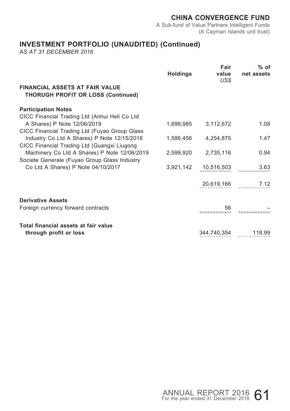A Sub-fund of Value Partners Intelligent Funds (A Cayman Islands unit trust)

# **INVESTMENT PORTFOLIO (UNAUDITED) (Continued)**

|                                                                                    | <b>Holdings</b> | Fair<br>value<br>US\$ | $%$ of<br>net assets |
|------------------------------------------------------------------------------------|-----------------|-----------------------|----------------------|
| <b>FINANCIAL ASSETS AT FAIR VALUE</b><br><b>THORUGH PROFIT OR LOSS (Continued)</b> |                 |                       |                      |
| <b>Participation Notes</b>                                                         |                 |                       |                      |
| CICC Financial Trading Ltd (Anhui Heli Co Ltd                                      |                 |                       |                      |
| A Shares) P Note 12/06/2019                                                        | 1,699,985       | 3,112,672             | 1.08                 |
| CICC Financial Trading Ltd (Fuyao Group Glass                                      |                 |                       |                      |
| Industry Co Ltd A Shares) P Note 12/15/2018                                        | 1,586,456       | 4,254,875             | 1.47                 |
| CICC Financial Trading Ltd (Guangxi Liugong                                        |                 |                       |                      |
| Machinery Co Ltd A Shares) P Note 12/06/2019                                       | 2,599,920       | 2,735,116             | 0.94                 |
| Societe Generale (Fuyao Group Glass Industry                                       |                 |                       |                      |
| Co Ltd A Shares) P Note 04/10/2017                                                 | 3,921,142       | 10,516,503            | 3.63                 |
|                                                                                    |                 |                       |                      |
|                                                                                    |                 | 20,619,166            | 7.12                 |
|                                                                                    |                 |                       |                      |
| <b>Derivative Assets</b>                                                           |                 |                       |                      |
| Foreign currency forward contracts                                                 |                 | 56                    |                      |
|                                                                                    |                 |                       |                      |
| Total financial assets at fair value                                               |                 |                       |                      |
| through profit or loss                                                             |                 | 344,740,354           | 118.99               |
|                                                                                    |                 |                       |                      |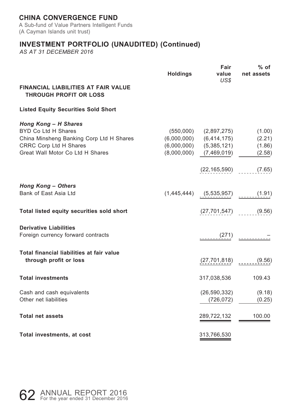A Sub-fund of Value Partners Intelligent Funds (A Cayman Islands unit trust)

# **INVESTMENT PORTFOLIO (UNAUDITED) (Continued)**

|                                                                                                                                                       | <b>Holdings</b> | Fair<br>value<br>US\$                                                                                                  | % of<br>net assets                   |
|-------------------------------------------------------------------------------------------------------------------------------------------------------|-----------------|------------------------------------------------------------------------------------------------------------------------|--------------------------------------|
| FINANCIAL LIABILITIES AT FAIR VALUE<br><b>THROUGH PROFIT OR LOSS</b>                                                                                  |                 |                                                                                                                        |                                      |
| <b>Listed Equity Securities Sold Short</b>                                                                                                            |                 |                                                                                                                        |                                      |
| Hong Kong - H Shares<br>BYD Co Ltd H Shares<br>China Minsheng Banking Corp Ltd H Shares<br>CRRC Corp Ltd H Shares<br>Great Wall Motor Co Ltd H Shares |                 | $(550,000)$ $(2,897,275)$<br>$(6,000,000)$ $(6,414,175)$<br>$(6,000,000)$ $(5,385,121)$<br>$(8,000,000)$ $(7,469,019)$ | (1.00)<br>(2.21)<br>(1.86)<br>(2.58) |
|                                                                                                                                                       |                 | $(22, 165, 590)$ (7.65)                                                                                                |                                      |
| <b>Hong Kong - Others</b><br>Bank of East Asia Ltd                                                                                                    |                 | $(1,445,444)$ $(5,535,957)$ $(1.91)$                                                                                   |                                      |
| Total listed equity securities sold short                                                                                                             |                 | $(27, 701, 547)$ (9.56)                                                                                                |                                      |
| <b>Derivative Liabilities</b><br>Foreign currency forward contracts                                                                                   |                 |                                                                                                                        |                                      |
| Total financial liabilities at fair value<br>through profit or loss                                                                                   |                 | (27, 701, 818)                                                                                                         | (9.56)                               |
| <b>Total investments</b>                                                                                                                              |                 | 317,038,536                                                                                                            | 109.43                               |
| Cash and cash equivalents<br>Other net liabilities                                                                                                    |                 | (26, 590, 332)<br>(726, 072)                                                                                           | (9.18)<br>(0.25)                     |
| <b>Total net assets</b>                                                                                                                               |                 | 289,722,132                                                                                                            | 100.00                               |
| Total investments, at cost                                                                                                                            |                 | 313,766,530                                                                                                            |                                      |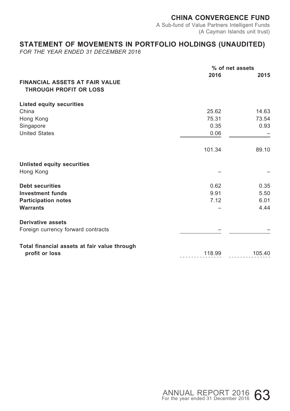A Sub-fund of Value Partners Intelligent Funds (A Cayman Islands unit trust)

### **STATEMENT OF MOVEMENTS IN PORTFOLIO HOLDINGS (UNAUDITED)**

*FOR THE YEAR ENDED 31 DECEMBER 2016*

|                                                                        |        | % of net assets |
|------------------------------------------------------------------------|--------|-----------------|
| <b>FINANCIAL ASSETS AT FAIR VALUE</b><br><b>THROUGH PROFIT OR LOSS</b> | 2016   | 2015            |
| <b>Listed equity securities</b>                                        |        |                 |
| China                                                                  | 25.62  | 14.63           |
| Hong Kong                                                              | 75.31  | 73.54           |
| Singapore                                                              | 0.35   | 0.93            |
| <b>United States</b>                                                   | 0.06   |                 |
|                                                                        | 101.34 | 89.10           |
| Unlisted equity securities                                             |        |                 |
| Hong Kong                                                              |        |                 |
| <b>Debt securities</b>                                                 | 0.62   | 0.35            |
| <b>Investment funds</b>                                                | 9.91   | 5.50            |
| <b>Participation notes</b>                                             | 7.12   | 6.01            |
| <b>Warrants</b>                                                        |        | 4.44            |
| <b>Derivative assets</b>                                               |        |                 |
| Foreign currency forward contracts                                     |        |                 |
| Total financial assets at fair value through                           |        |                 |
| profit or loss                                                         | 118.99 | 105.40          |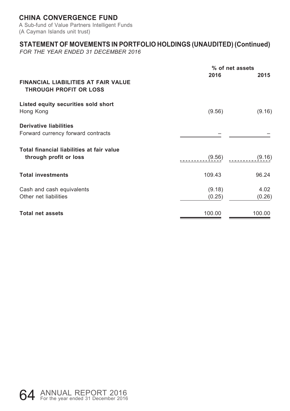A Sub-fund of Value Partners Intelligent Funds (A Cayman Islands unit trust)

### **STATEMENT OF MOVEMENTS IN PORTFOLIO HOLDINGS (UNAUDITED) (Continued)**

*FOR THE YEAR ENDED 31 DECEMBER 2016*

|                                                                             | % of net assets  |                |  |  |
|-----------------------------------------------------------------------------|------------------|----------------|--|--|
| <b>FINANCIAL LIABILITIES AT FAIR VALUE</b><br><b>THROUGH PROFIT OR LOSS</b> | 2016             | 2015           |  |  |
| Listed equity securities sold short<br>Hong Kong                            | (9.56)           | (9.16)         |  |  |
| <b>Derivative liabilities</b><br>Forward currency forward contracts         |                  |                |  |  |
| Total financial liabilities at fair value<br>through profit or loss         | (9.56)           | (9.16)         |  |  |
| <b>Total investments</b>                                                    | 109.43           | 96.24          |  |  |
| Cash and cash equivalents<br>Other net liabilities                          | (9.18)<br>(0.25) | 4.02<br>(0.26) |  |  |
| <b>Total net assets</b>                                                     | 100.00           | 100.00         |  |  |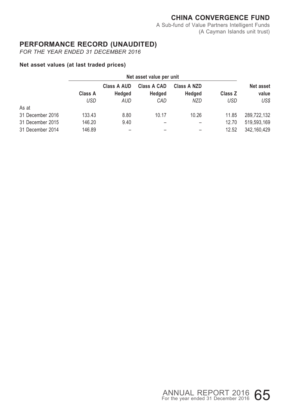A Sub-fund of Value Partners Intelligent Funds (A Cayman Islands unit trust)

### **PERFORMANCE RECORD (UNAUDITED)**

*FOR THE YEAR ENDED 31 DECEMBER 2016*

#### **Net asset values (at last traded prices)**

|                  | Net asset value per unit |               |                    |                       |         |                           |
|------------------|--------------------------|---------------|--------------------|-----------------------|---------|---------------------------|
|                  | Class A                  | Class A AUD   | <b>Class A CAD</b> | Class A NZD<br>Hedged | Class Z | <b>Net asset</b><br>value |
|                  | USD                      | Hedged<br>AUD | Hedged<br>CAD      | <b>NZD</b>            | USD     | US\$                      |
| As at            |                          |               |                    |                       |         |                           |
| 31 December 2016 | 133.43                   | 8.80          | 10.17              | 10.26                 | 11.85   | 289.722.132               |
| 31 December 2015 | 146.20                   | 9.40          |                    |                       | 12.70   | 519.593.169               |
| 31 December 2014 | 146.89                   |               |                    |                       | 12.52   | 342.160.429               |